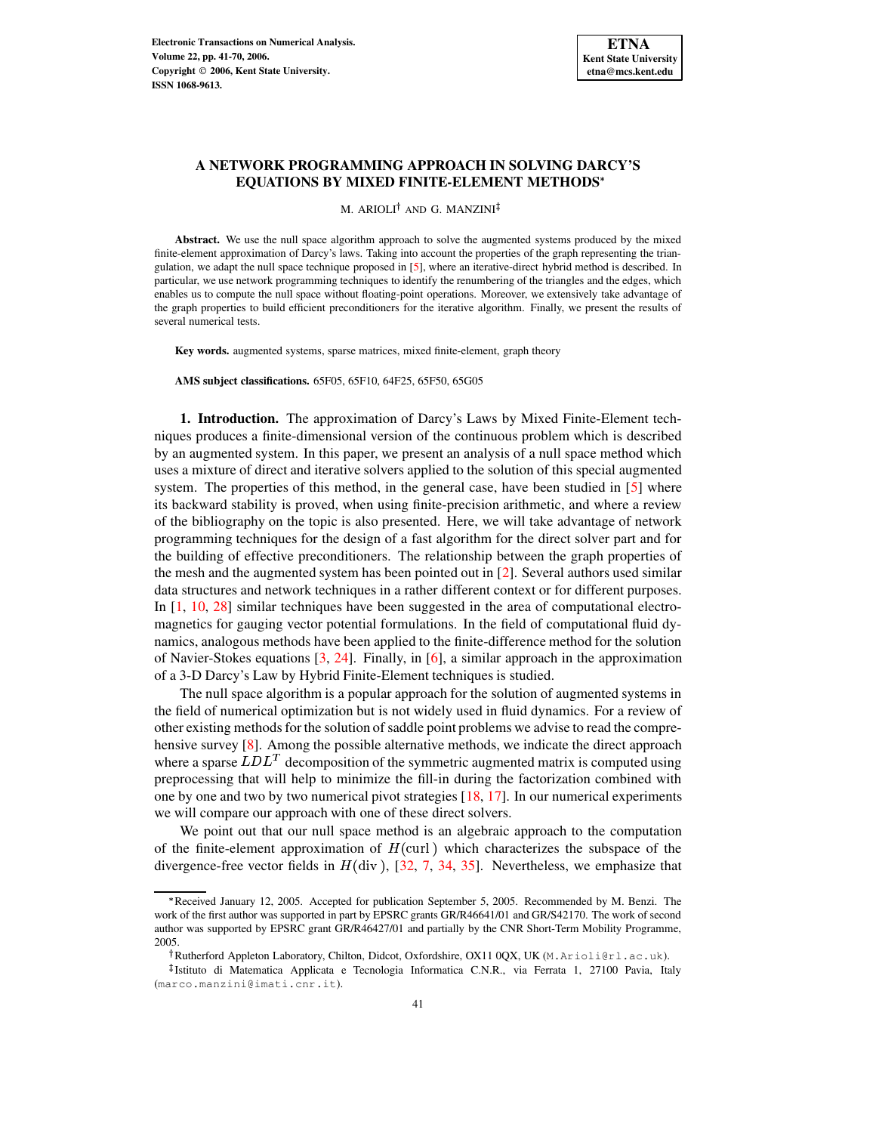

## **A NETWORK PROGRAMMING APPROACH IN SOLVING DARCY'S EQUATIONS BY MIXED FINITE-ELEMENT METHODS**

M. ARIOLI<sup>†</sup> AND G. MANZINI

Abstract. We use the null space algorithm approach to solve the augmented systems produced by the mixed finite-element approximation of Darcy's laws. Taking into account the properties of the graph representing the triangulation, we adapt the null space technique proposed in [\[5\]](#page-28-0), where an iterative-direct hybrid method is described. In particular, we use network programming techniques to identify the renumbering of the triangles and the edges, which enables us to compute the null space without floating-point operations. Moreover, we extensively take advantage of the graph properties to build efficient preconditioners for the iterative algorithm. Finally, we present the results of several numerical tests.

**Key words.** augmented systems, sparse matrices, mixed finite-element, graph theory

**AMS subject classifications.** 65F05, 65F10, 64F25, 65F50, 65G05

**1. Introduction.** The approximation of Darcy's Laws by Mixed Finite-Element techniques produces a finite-dimensional version of the continuous problem which is described by an augmented system. In this paper, we present an analysis of a null space method which uses a mixture of direct and iterative solvers applied to the solution of this special augmented system. The properties of this method, in the general case, have been studied in [\[5\]](#page-28-0) where its backward stability is proved, when using finite-precision arithmetic, and where a review of the bibliography on the topic is also presented. Here, we will take advantage of network programming techniques for the design of a fast algorithm for the direct solver part and for the building of effective preconditioners. The relationship between the graph properties of the mesh and the augmented system has been pointed out in [\[2\]](#page-28-1). Several authors used similar data structures and network techniques in a rather different context or for different purposes. In [\[1,](#page-28-2) [10,](#page-29-0) [28\]](#page-29-1) similar techniques have been suggested in the area of computational electromagnetics for gauging vector potential formulations. In the field of computational fluid dynamics, analogous methods have been applied to the finite-difference method for the solution of Navier-Stokes equations [\[3,](#page-28-3) [24\]](#page-29-2). Finally, in [\[6\]](#page-28-4), a similar approach in the approximation of a 3-D Darcy's Law by Hybrid Finite-Element techniques is studied.

The null space algorithm is a popular approach for the solution of augmented systems in the field of numerical optimization but is not widely used in fluid dynamics. For a review of other existing methodsfor the solution of saddle point problems we advise to read the comprehensive survey [\[8\]](#page-29-3). Among the possible alternative methods, we indicate the direct approach where a sparse  $LDL<sup>T</sup>$  decomposition of the symmetric augmented matrix is computed using preprocessing that will help to minimize the fill-in during the factorization combined with one by one and two by two numerical pivot strategies  $[18, 17]$  $[18, 17]$  $[18, 17]$ . In our numerical experiments we will compare our approach with one of these direct solvers.

We point out that our null space method is an algebraic approach to the computation of the finite-element approximation of  $H$ (curl) which characterizes the subspace of the divergence-free vector fields in  $H$ (div), [\[32,](#page-29-6) [7,](#page-29-7) [34,](#page-29-8) [35\]](#page-29-9). Nevertheless, we emphasize that

<sup>\*</sup> Received January 12, 2005. Accepted for publication September 5, 2005. Recommended by M. Benzi. The work of the first author was supported in part by EPSRC grants GR/R46641/01 and GR/S42170. The work of second author was supported by EPSRC grant GR/R46427/01 and partially by the CNR Short-Term Mobility Programme, 2005.

Rutherford Appleton Laboratory, Chilton, Didcot, Oxfordshire, OX11 0QX, UK (M.Arioli@rl.ac.uk).

<sup>-</sup> Istituto di Matematica Applicata e Tecnologia Informatica C.N.R., via Ferrata 1, 27100 Pavia, Italy (marco.manzini@imati.cnr.it).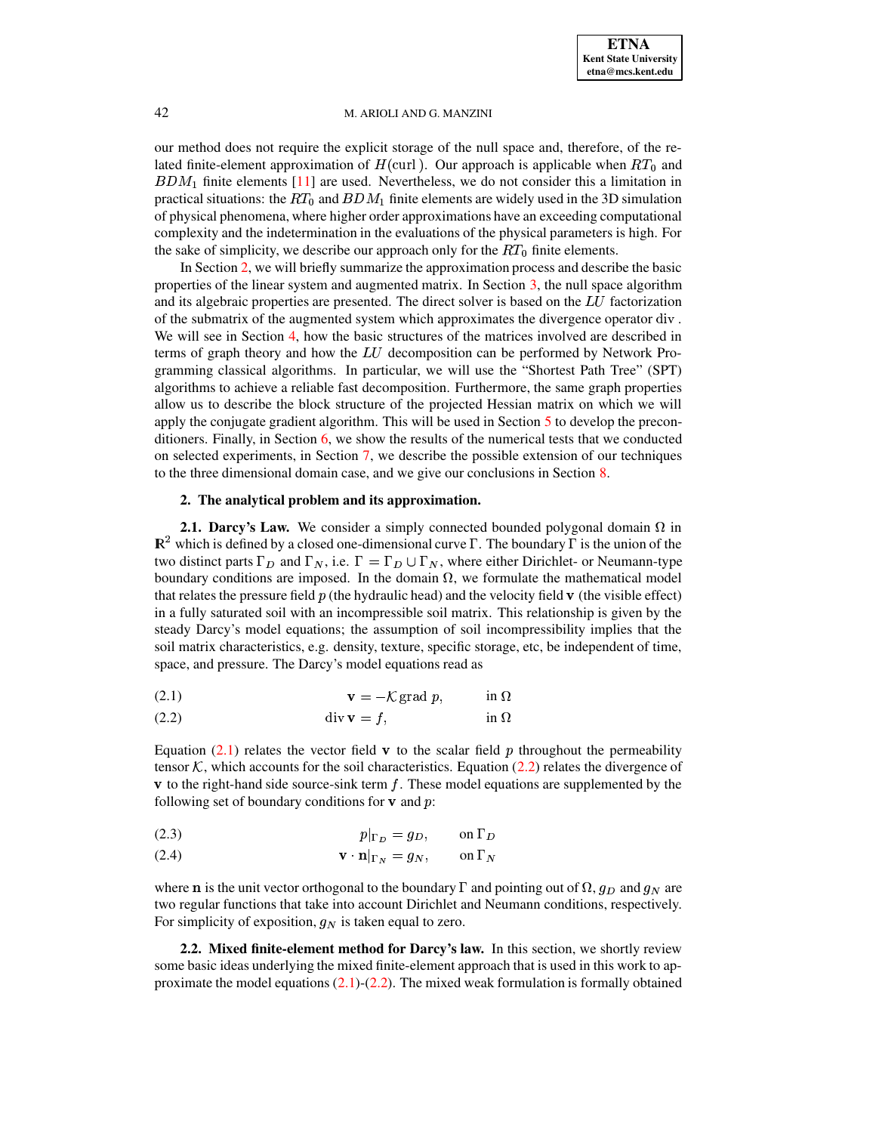our method does not require the explicit storage of the null space and, therefore, of the related finite-element approximation of  $H$ (curl). Our approach is applicable when  $RT_0$  and  $BDM_1$  finite elements [\[11\]](#page-29-10) are used. Nevertheless, we do not consider this a limitation in practical situations: the  $RT_0$  and  $BDM_1$  finite elements are widely used in the 3D simulation of physical phenomena, where higher order approximations have an exceeding computational complexity and the indetermination in the evaluations of the physical parameters is high. For the sake of simplicity, we describe our approach only for the  $RT_0$  finite elements.

In Section [2,](#page-1-0) we will briefly summarize the approximation process and describe the basic properties of the linear system and augmented matrix. In Section [3,](#page-4-0) the null space algorithm and its algebraic properties are presented. The direct solver is based on the  $LU$  factorization of the submatrix of the augmented system which approximates the divergence operator  $div$ . We will see in Section [4,](#page-7-0) how the basic structures of the matrices involved are described in terms of graph theory and how the  $LU$  decomposition can be performed by Network Programming classical algorithms. In particular, we will use the "Shortest Path Tree" (SPT) algorithms to achieve a reliable fast decomposition. Furthermore, the same graph properties allow us to describe the block structure of the projected Hessian matrix on which we will apply the conjugate gradient algorithm. This will be used in Section [5](#page-10-0) to develop the preconditioners. Finally, in Section [6,](#page-17-0) we show the results of the numerical tests that we conducted on selected experiments, in Section [7,](#page-23-0) we describe the possible extension of our techniques to the three dimensional domain case, and we give our conclusions in Section [8.](#page-24-0)

## **2. The analytical problem and its approximation.**

<span id="page-1-0"></span>**2.1. Darcy's Law.** We consider a simply connected bounded polygonal domain  $\Omega$  in  $\mathbb{R}^2$  which is defined by a closed one-dimensional curve  $\Gamma$ . The boundary  $\Gamma$  is the union of the two distinct parts  $\Gamma_D$  and  $\Gamma_N$ , i.e.  $\Gamma = \Gamma_D \cup \Gamma_N$ , where either Dirichlet- or Neumann-type boundary conditions are imposed. In the domain  $\Omega$ , we formulate the mathematical model that relates the pressure field  $p$  (the hydraulic head) and the velocity field  $\bf{v}$  (the visible effect) in a fully saturated soil with an incompressible soil matrix. This relationship is given by the steady Darcy's model equations; the assumption of soil incompressibility implies that the soil matrix characteristics, e.g. density, texture, specific storage, etc, be independent of time, space, and pressure. The Darcy's model equations read as

<span id="page-1-1"></span>
$$
\mathbf{v} = -\mathcal{K}\,\text{grad }p,\qquad\qquad \text{in }\Omega
$$

(2.2) DE893GFHC in -

Equation [\(2.1\)](#page-1-1) relates the vector field  $\bf{v}$  to the scalar field p throughout the permeability tensor  $\mathcal K$ , which accounts for the soil characteristics. Equation [\(2.2\)](#page-1-1) relates the divergence of  $\bf{v}$  to the right-hand side source-sink term f. These model equations are supplemented by the following set of boundary conditions for  $\bf{v}$  and  $\bf{p}$ :

$$
(2.3) \t\t\t\t p|_{\Gamma_D} = g_D, \t on \Gamma_D
$$

$$
\mathbf{v} \cdot \mathbf{n}|_{\Gamma_N} = g_N, \qquad \text{on } \Gamma_N
$$

where **n** is the unit vector orthogonal to the boundary  $\Gamma$  and pointing out of  $\Omega$ ,  $g_D$  and  $g_N$  are two regular functions that take into account Dirichlet and Neumann conditions, respectively. For simplicity of exposition,  $q_N$  is taken equal to zero.

<span id="page-1-2"></span>**2.2. Mixed finite-element method for Darcy's law.** In this section, we shortly review some basic ideas underlying the mixed finite-element approach that is used in this work to approximate the model equations  $(2.1)-(2.2)$  $(2.1)-(2.2)$  $(2.1)-(2.2)$ . The mixed weak formulation is formally obtained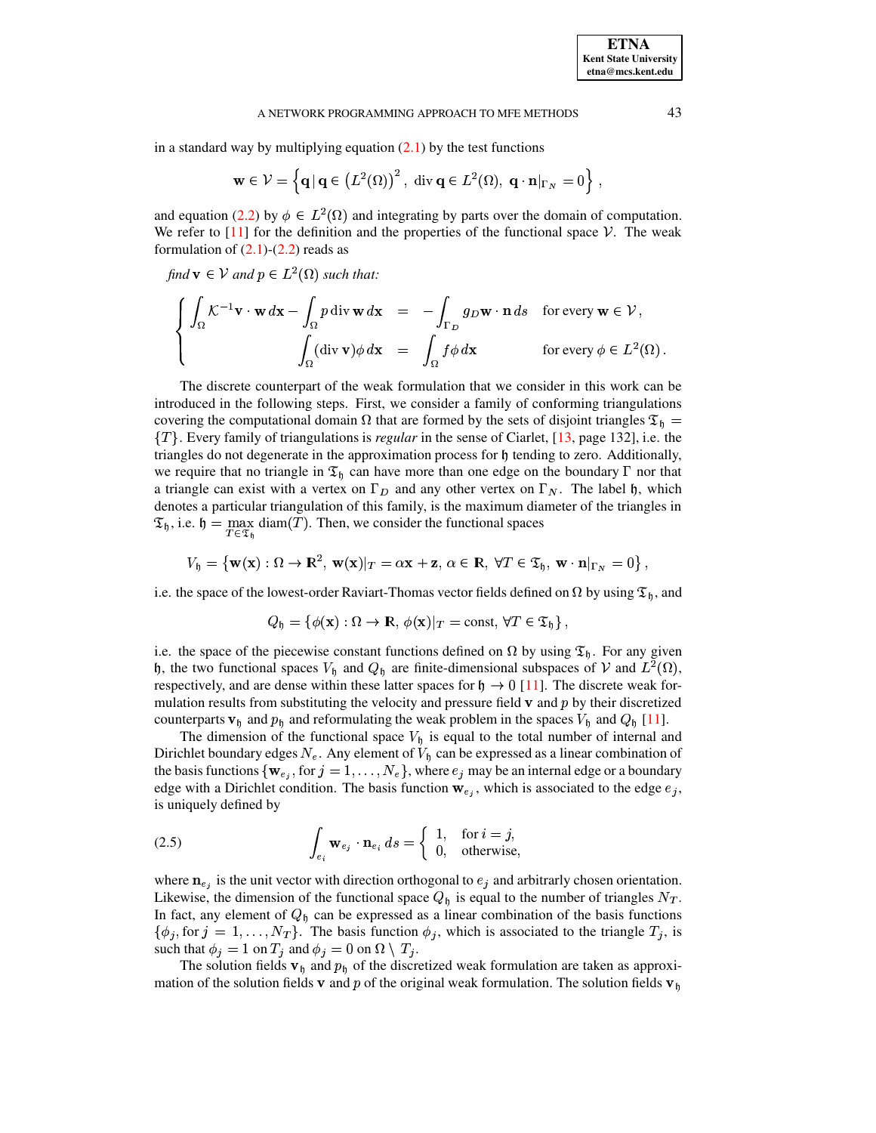in a standard way by multiplying equation  $(2.1)$  by the test functions

$$
\mathbf{w} \in \mathcal{V} = \left\{ \mathbf{q} \, | \, \mathbf{q} \in (L^2(\Omega))^2, \text{ div } \mathbf{q} \in L^2(\Omega), \, \mathbf{q} \cdot \mathbf{n} |_{\Gamma_N} = 0 \right\},
$$

and equation [\(2.2\)](#page-1-1) by  $\phi \in L^2(\Omega)$  and integrating by parts over the domain of computation. We refer to  $[11]$  for the definition and the properties of the functional space  $\mathcal V$ . The weak formulation of  $(2.1)-(2.2)$  $(2.1)-(2.2)$  $(2.1)-(2.2)$  reads as

find  $\mathbf{v} \in \mathcal{V}$  and  $p \in L^2(\Omega)$  such that:

$$
\begin{cases}\n\int_{\Omega} \mathcal{K}^{-1} \mathbf{v} \cdot \mathbf{w} \, d\mathbf{x} - \int_{\Omega} p \, \text{div} \, \mathbf{w} \, d\mathbf{x} &= -\int_{\Gamma_D} g_D \mathbf{w} \cdot \mathbf{n} \, ds \quad \text{for every } \mathbf{w} \in \mathcal{V}, \\
\int_{\Omega} (\text{div} \, \mathbf{v}) \phi \, d\mathbf{x} &= \int_{\Omega} f \phi \, d\mathbf{x} \quad \text{for every } \phi \in L^2(\Omega)\,.\n\end{cases}
$$

The discrete counterpart of the weak formulation that we consider in this work can be introduced in the following steps. First, we consider a family of conforming triangulations covering the computational domain  $\Omega$  that are formed by the sets of disjoint triangles  $\mathfrak{T}_0 =$ ! . Every family of triangulations is *regular* in the sense of Ciarlet, [\[13,](#page-29-11) page 132], i.e. the triangles do not degenerate in the approximation process for  $\mathfrak h$  tending to zero. Additionally, we require that no triangle in  $\mathfrak{T}_h$  can have more than one edge on the boundary  $\Gamma$  nor that a triangle can exist with a vertex on  $\Gamma_D$  and any other vertex on  $\Gamma_N$ . The label  $\mathfrak{h}$ , which denotes a particular triangulation of this family, is the maximum diameter of the triangles in  $\mathfrak{T}_{\mathfrak{h}}$ , i.e.  $\mathfrak{h} = \max \text{diam}(T)$ . Then, we consider the functional spaces

$$
V_{\mathfrak{h}} = \left\{ \mathbf{w}(\mathbf{x}) : \Omega \to \mathbb{R}^2, \, \mathbf{w}(\mathbf{x})|_T = \alpha \mathbf{x} + \mathbf{z}, \, \alpha \in \mathbb{R}, \, \forall T \in \mathfrak{T}_{\mathfrak{h}}, \, \mathbf{w} \cdot \mathbf{n}|_{\Gamma_N} = 0 \right\},
$$

i.e. the space of the lowest-order Raviart-Thomas vector fields defined on  $\Omega$  by using  $\mathfrak{T}_{\mathfrak{b}}$ , and

$$
Q_{\mathfrak{h}} = \{ \phi(\mathbf{x}) : \Omega \to \mathbb{R}, \phi(\mathbf{x})|_T = \text{const}, \forall T \in \mathfrak{T}_{\mathfrak{h}} \},
$$

i.e. the space of the piecewise constant functions defined on  $\Omega$  by using  $\mathfrak{T}_h$ . For any given h, the two functional spaces  $V_0$  and  $Q_0$  are finite-dimensional subspaces of V and  $L^2(\Omega)$ , respectively, and are dense within these latter spaces for  $\mathfrak{h} \to 0$  [\[11\]](#page-29-10). The discrete weak formulation results from substituting the velocity and pressure field  $\bf{v}$  and  $\bf{p}$  by their discretized counterparts  $\mathbf{v}_{\mathfrak{h}}$  and  $p_{\mathfrak{h}}$  and reformulating the weak problem in the spaces  $V_{\mathfrak{h}}$  and  $Q_{\mathfrak{h}}$  [\[11\]](#page-29-10).

The dimension of the functional space  $V<sub>h</sub>$  is equal to the total number of internal and Dirichlet boundary edges  $N_e$ . Any element of  $V_h$  can be expressed as a linear combination of the basis functions  $\{ {\bf w}_{e_i}, {\rm for} j = 1, \ldots, N_e \}$ , where  $e_j$  may be an internal edge or a boundary edge with a Dirichlet condition. The basis function  $\mathbf{w}_{e_i}$ , which is associated to the edge  $e_j$ , is uniquely defined by

<span id="page-2-0"></span>(2.5) 
$$
\int_{e_i} \mathbf{w}_{e_j} \cdot \mathbf{n}_{e_i} ds = \begin{cases} 1, & \text{for } i = j, \\ 0, & \text{otherwise,} \end{cases}
$$

where  $n_{e_i}$  is the unit vector with direction orthogonal to  $e_j$  and arbitrarly chosen orientation. Likewise, the dimension of the functional space  $Q<sub>b</sub>$  is equal to the number of triangles  $N_T$ . In fact, any element of  $Q<sub>h</sub>$  can be expressed as a linear combination of the basis functions  $\{\phi_j, \text{for } j = 1, \ldots, N_T\}$ . The basis function  $\phi_j$ , which is associated to the triangle  $T_j$ , is such that  $\phi_j = 1$  on  $T_j$  and  $\phi_j = 0$  on  $\Omega \setminus T_j$ .

The solution fields  $\mathbf{v}_{\mathfrak{h}}$  and  $p_{\mathfrak{h}}$  of the discretized weak formulation are taken as approximation of the solution fields v and p of the original weak formulation. The solution fields  $v<sub>h</sub>$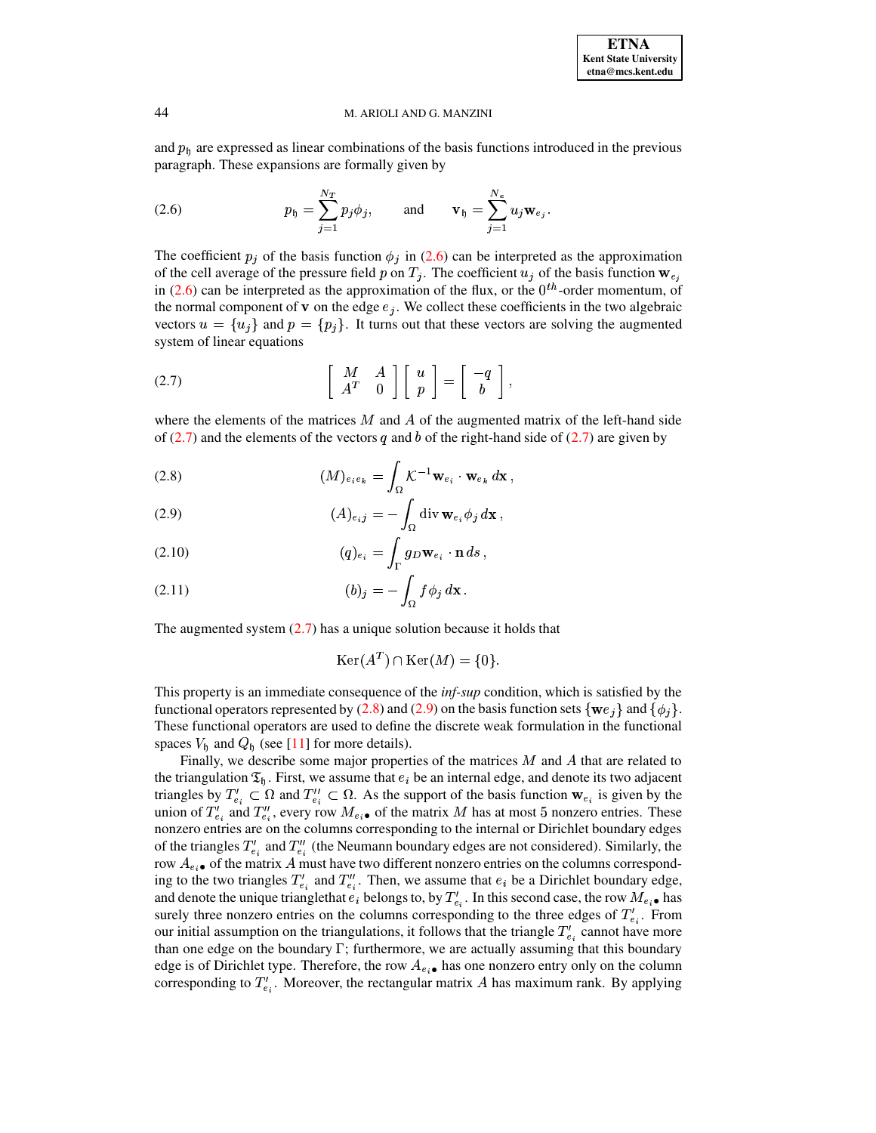and  $p<sub>h</sub>$  are expressed as linear combinations of the basis functions introduced in the previous paragraph. These expansions are formally given by

<span id="page-3-0"></span>(2.6) 
$$
p_{\mathfrak{h}} = \sum_{j=1}^{N_T} p_j \phi_j, \quad \text{and} \quad \mathbf{v}_{\mathfrak{h}} = \sum_{j=1}^{N_e} u_j \mathbf{w}_{e_j}.
$$

The coefficient  $p_j$  of the basis function  $\phi_j$  in (2.6) can be interpreted as the approximation of the cell average of the pressure field p on  $T_j$ . The coefficient  $u_j$  of the basis function  $\mathbf{w}_{e_j}$ in (2.6) can be interpreted as the approximation of the flux, or the  $0^{th}$ -order momentum, of the normal component of **v** on the edge  $e_i$ . We collect these coefficients in the two algebraic vectors  $u = \{u_j\}$  and  $p = \{p_j\}$ . It turns out that these vectors are solving the augmented system of linear equations

<span id="page-3-1"></span>
$$
(2.7) \qquad \qquad \begin{bmatrix} M & A \\ A^T & 0 \end{bmatrix} \begin{bmatrix} u \\ p \end{bmatrix} = \begin{bmatrix} -q \\ b \end{bmatrix}
$$

where the elements of the matrices  $M$  and  $\overline{A}$  of the augmented matrix of the left-hand side of (2.7) and the elements of the vectors q and b of the right-hand side of (2.7) are given by

<span id="page-3-2"></span>(2.8) 
$$
(M)_{e_ie_k} = \int_{\Omega} \mathcal{K}^{-1} \mathbf{w}_{e_i} \cdot \mathbf{w}_{e_k} d\mathbf{x},
$$

(2.9) 
$$
(A)_{eij} = -\int_{\Omega} \operatorname{div} \mathbf{w}_{e_i} \phi_j d\mathbf{x},
$$

(2.10) 
$$
(q)_{e_i} = \int_{\Gamma} g_D \mathbf{w}_{e_i} \cdot \mathbf{n} \, ds,
$$

The augmented system  $(2.7)$  has a unique solution because it holds that

$$
Ker(A^T) \cap Ker(M) = \{0\}.
$$

This property is an immediate consequence of the *inf-sup* condition, which is satisfied by the functional operators represented by (2.8) and (2.9) on the basis function sets  $\{ \mathbf{w} e_i \}$  and  $\{ \phi_i \}$ . These functional operators are used to define the discrete weak formulation in the functional spaces  $V_{\rm h}$  and  $Q_{\rm h}$  (see [11] for more details).

Finally, we describe some major properties of the matrices  $M$  and  $\overline{A}$  that are related to the triangulation  $\mathfrak{T}_{\mathfrak{h}}$ . First, we assume that  $e_i$  be an internal edge, and denote its two adjacent triangles by  $T'_{e_i} \subset \Omega$  and  $T''_{e_i} \subset \Omega$ . As the support of the basis function  $\mathbf{w}_{e_i}$  is given by the union of  $T'_{e_i}$  and  $T''_{e_i}$ , every row  $M_{e_i \bullet}$  of the matrix M has at most 5 nonzero entries. These nonzero entries are on the columns corresponding to the internal or Dirichlet boundary edges of the triangles  $T'_{e_i}$  and  $T''_{e_i}$  (the Neumann boundary edges are not considered). Similarly, the row  $A_{e_i \bullet}$  of the matrix A must have two different nonzero entries on the columns corresponding to the two triangles  $T'_{e_i}$  and  $T''_{e_i}$ . Then, we assume that  $e_i$  be a Dirichlet boundary edge, and denote the unique trianglethat  $e_i$  belongs to, by  $T'_{e_i}$ . In this second case, the row  $M_{e_i}$  has surely three nonzero entries on the columns corresponding to the three edges of  $T_{e_i}^l$ . From our initial assumption on the triangulations, it follows that the triangle  $T'_{e_i}$  cannot have more than one edge on the boundary  $\Gamma$ ; furthermore, we are actually assuming that this boundary edge is of Dirichlet type. Therefore, the row  $A_{e_i \bullet}$  has one nonzero entry only on the column corresponding to  $T'_{e_i}$ . Moreover, the rectangular matrix A has maximum rank. By applying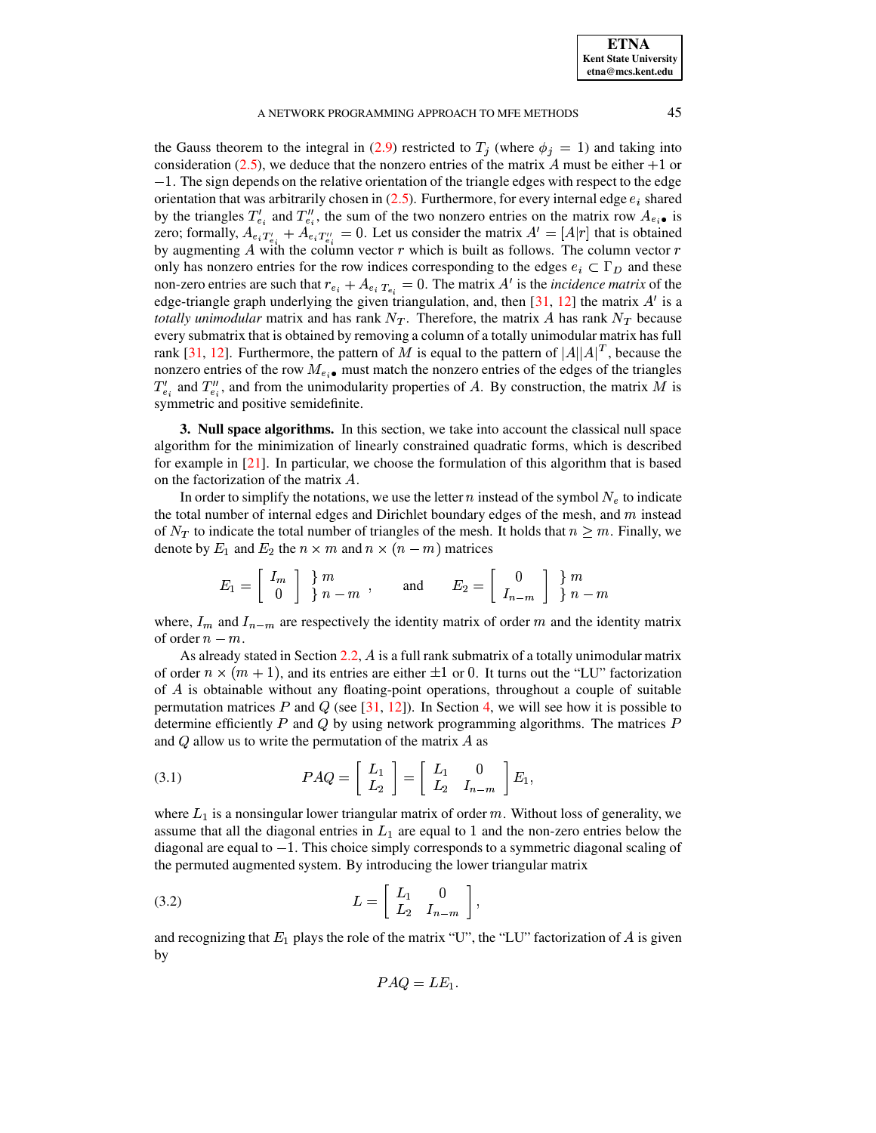the Gauss theorem to the integral in [\(2.9\)](#page-3-2) restricted to  $T_j$  (where  $\phi_j = 1$ ) and taking into consideration [\(2.5\)](#page-2-0), we deduce that the nonzero entries of the matrix A must be either  $+1$  or  $-1$ . The sign depends on the relative orientation of the triangle edges with respect to the edge orientation that was arbitrarily chosen in  $(2.5)$ . Furthermore, for every internal edge  $e_i$  shared by the triangles  $T_{e_i}^{\prime}$  and  $T_{e_i}^{\prime\prime}$ , the sum of the two nonzero entries on the matrix row  $A_{e_i \bullet}$  is zero; formally,  $A_{e_i}T_{e_i}^v + A_{e_i}T_{e_i}^v = 0$ . Let us consider the matrix  $A' = [A|r]$  that is obtained by augmenting A with the column vector  $r$  which is built as follows. The column vector  $r$ only has nonzero entries for the row indices corresponding to the edges  $e_i \text{ }\subset \Gamma_D$  and these non-zero entries are such that  $r_{e_i} + A_{e_i} r_{e_i} = 0$ . The matrix A' is the *incidence matrix* of the edge-triangle graph underlying the given triangulation, and, then  $[31, 12]$  $[31, 12]$  $[31, 12]$  the matrix  $A'$  is a *totally unimodular* matrix and has rank  $N_T$ . Therefore, the matrix A has rank  $N_T$  because every submatrix that is obtained by removing a column of a totally unimodular matrix has full rank [\[31,](#page-29-12) [12\]](#page-29-13). Furthermore, the pattern of M is equal to the pattern of  $|A||A|^T$ , because the nonzero entries of the row  $M_{e_i \bullet}$  must match the nonzero entries of the edges of the triangles  $T'_{e_i}$  and  $T''_{e_i}$ , and from the unimodularity properties of A. By construction, the matrix M is symmetric and positive semidefinite.

<span id="page-4-0"></span>**3. Null space algorithms.** In this section, we take into account the classical null space algorithm for the minimization of linearly constrained quadratic forms, which is described for example in [\[21\]](#page-29-14). In particular, we choose the formulation of this algorithm that is based on the factorization of the matrix  $A$ .

In order to simplify the notations, we use the letter n instead of the symbol  $N_e$  to indicate the total number of internal edges and Dirichlet boundary edges of the mesh, and  $m$  instead of  $N_T$  to indicate the total number of triangles of the mesh. It holds that  $n \geq m$ . Finally, we <u>state and the state of the state of the state of the state of the state of the state of the state of the state of the state of the state of the state of the state of the state of the state of the state of the state of the</u>

denote by 
$$
E_1
$$
 and  $E_2$  the  $n \times m$  and  $n \times (n - m)$  matrices  
\n
$$
E_1 = \begin{bmatrix} I_m \\ 0 \end{bmatrix} \begin{matrix} m \\ n-m \end{matrix}, \text{ and } E_2 = \begin{bmatrix} 0 \\ I_{n-m} \end{bmatrix} \begin{matrix} m \\ m-m \end{matrix}
$$

where,  $I_m$  and  $I_{n-m}$  are respectively the identity matrix of order m and the identity matrix of order  $n-m$ .

As already stated in Section [2.2,](#page-1-2)  $\vec{A}$  is a full rank submatrix of a totally unimodular matrix of order  $n \times (m + 1)$ , and its entries are either  $\pm 1$  or 0. It turns out the "LU" factorization of  $\overline{A}$  is obtainable without any floating-point operations, throughout a couple of suitable permutation matrices P and Q (see  $[31, 12]$  $[31, 12]$  $[31, 12]$ ). In Section [4,](#page-7-0) we will see how it is possible to determine efficiently P and Q by using network programming algorithms. The matrices  $P$ and  $Q$  allow us to write the permutation of the matrix  $A$  as

(3.1) 
$$
PAQ = \begin{bmatrix} L_1 \\ L_2 \end{bmatrix} = \begin{bmatrix} L_1 & 0 \\ L_2 & I_{n-m} \end{bmatrix} E_1,
$$

where  $L_1$  is a nonsingular lower triangular matrix of order m. Without loss of generality, we assume that all the diagonal entries in  $L_1$  are equal to 1 and the non-zero entries below the diagonal are equal to  $-1$ . This choice simply corresponds to a symmetric diagonal scaling of the permuted augmented system. By introducing the lower triangular matrix<br>  $(3.2)$   $L = \begin{bmatrix} L_1 & 0 \\ 0 & 0 \end{bmatrix}$ .

$$
(3.2) \t\t\t L = \begin{bmatrix} L_1 & 0 \\ L_2 & I_{n-m} \end{bmatrix},
$$

and recognizing that  $E_1$  plays the role of the matrix "U", the "LU" factorization of A is given by

$$
PAQ = LE_1.
$$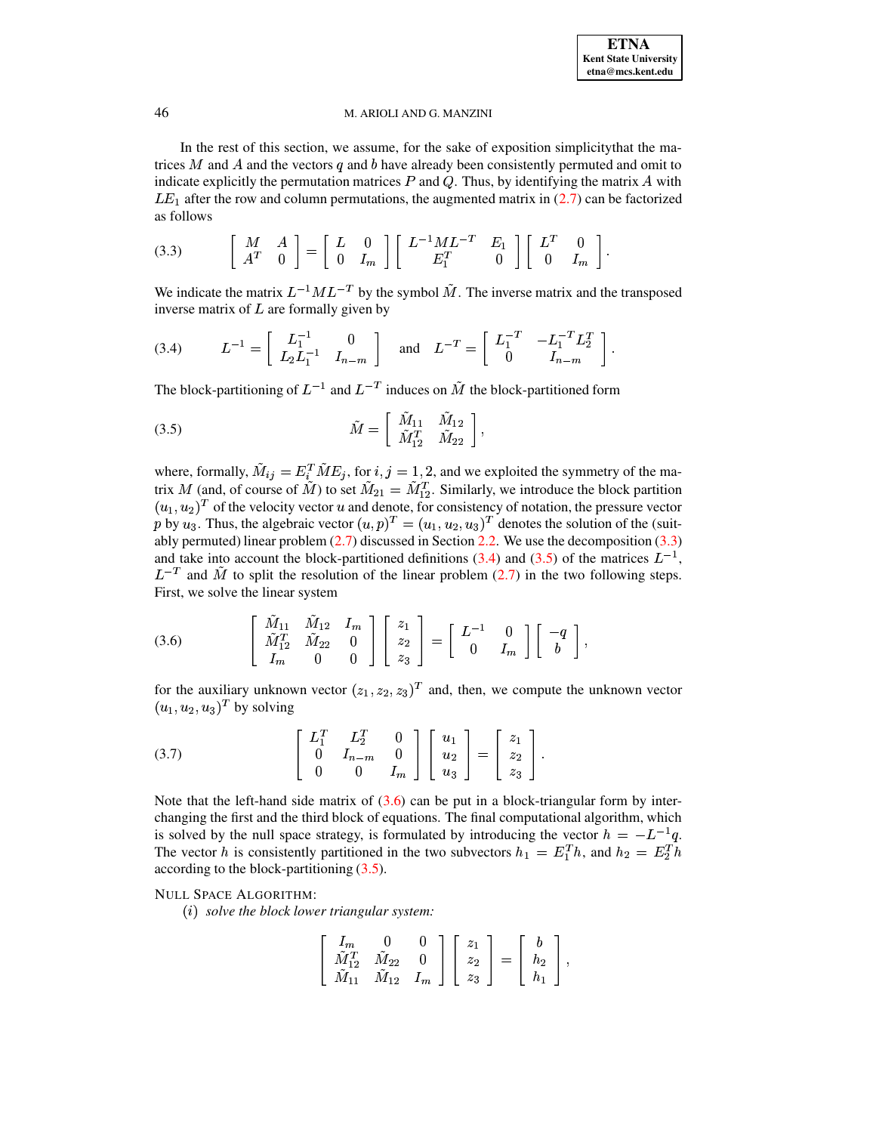In the rest of this section, we assume, for the sake of exposition simplicity that the matrices  $M$  and  $A$  and the vectors  $q$  and  $b$  have already been consistently permuted and omit to indicate explicitly the permutation matrices  $P$  and  $Q$ . Thus, by identifying the matrix  $A$  with  $LE_1$  after the row and column permutations, the augmented matrix in (2.7) can be factorized as follows

<span id="page-5-0"></span>
$$
(3.3) \qquad \begin{bmatrix} M & A \\ A^T & 0 \end{bmatrix} = \begin{bmatrix} L & 0 \\ 0 & I_m \end{bmatrix} \begin{bmatrix} L^{-1}ML^{-T} & E_1 \\ E_1^T & 0 \end{bmatrix} \begin{bmatrix} L^T & 0 \\ 0 & I_m \end{bmatrix}
$$

We indicate the matrix  $L^{-1}ML^{-T}$  by the symbol  $\tilde{M}$ . The inverse matrix and the transposed inverse matrix of  $L$  are formally given by

<span id="page-5-1"></span>(3.4) 
$$
L^{-1} = \begin{bmatrix} L_{1}^{-1} & 0 \\ L_{2}L_{1}^{-1} & I_{n-m} \end{bmatrix} \text{ and } L^{-T} = \begin{bmatrix} L_{1}^{-T} & -L_{1}^{-T}L_{2}^{T} \\ 0 & I_{n-m} \end{bmatrix}
$$

The block-partitioning of  $L^{-1}$  and  $L^{-T}$  induces on  $\tilde{M}$  the block-partitioned form

<span id="page-5-2"></span>
$$
\tilde{M} = \begin{bmatrix} \tilde{M}_{11} & \tilde{M}_{12} \\ \tilde{M}_{12}^T & \tilde{M}_{22} \end{bmatrix},
$$

where, formally,  $\tilde{M}_{ij} = E_i^T \tilde{M} E_j$ , for  $i, j = 1, 2$ , and we exploited the symmetry of the matrix M (and, of course of  $\tilde{M}$ ) to set  $\tilde{M}_{21} = \tilde{M}_{12}^T$ . Similarly, we introduce the block partition  $(u_1, u_2)^T$  of the velocity vector u and denote, for consistency of notation, the pressure vector p by u<sub>3</sub>. Thus, the algebraic vector  $(u, p)^T = (u_1, u_2, u_3)^T$  denotes the solution of the (suitably permuted) linear problem  $(2.7)$  discussed in Section 2.2. We use the decomposition  $(3.3)$ and take into account the block-partitioned definitions (3.4) and (3.5) of the matrices  $L^{-1}$ ,  $L^{-T}$  and  $\tilde{M}$  to split the resolution of the linear problem (2.7) in the two following steps. First, we solve the linear system

<span id="page-5-3"></span>(3.6) 
$$
\begin{bmatrix} M_{11} & M_{12} & I_m \\ \tilde{M}_{12}^T & \tilde{M}_{22} & 0 \\ I_m & 0 & 0 \end{bmatrix} \begin{bmatrix} z_1 \\ z_2 \\ z_3 \end{bmatrix} = \begin{bmatrix} L^{-1} & 0 \\ 0 & I_m \end{bmatrix} \begin{bmatrix} -q \\ b \end{bmatrix},
$$

for the auxiliary unknown vector  $(z_1, z_2, z_3)^T$  and, then, we compute the unknown vector  $(u_1, u_2, u_3)^T$  by solving

(3.7) 
$$
\begin{bmatrix} L_1^T & L_2^T & 0 \\ 0 & I_{n-m} & 0 \\ 0 & 0 & I_m \end{bmatrix} \begin{bmatrix} u_1 \\ u_2 \\ u_3 \end{bmatrix} = \begin{bmatrix} z_1 \\ z_2 \\ z_3 \end{bmatrix}.
$$

Note that the left-hand side matrix of  $(3.6)$  can be put in a block-triangular form by interchanging the first and the third block of equations. The final computational algorithm, which is solved by the null space strategy, is formulated by introducing the vector  $h = -L^{-1}q$ . The vector h is consistently partitioned in the two subvectors  $h_1 = E_1^T h$ , and  $h_2 = E_2^T h$ according to the block-partitioning  $(3.5)$ .

## **NULL SPACE ALGORITHM:**

 $(i)$  solve the block lower triangular system:

$$
\left[\begin{array}{ccc}I_m & 0 & 0 \\ \tilde{M}^T_{12} & \tilde{M}_{22} & 0 \\ \tilde{M}_{11} & \tilde{M}_{12} & I_m \end{array}\right] \left[\begin{array}{c}z_1 \\ z_2 \\ z_3 \end{array}\right] = \left[\begin{array}{c}b \\ h_2 \\ h_1 \end{array}\right],
$$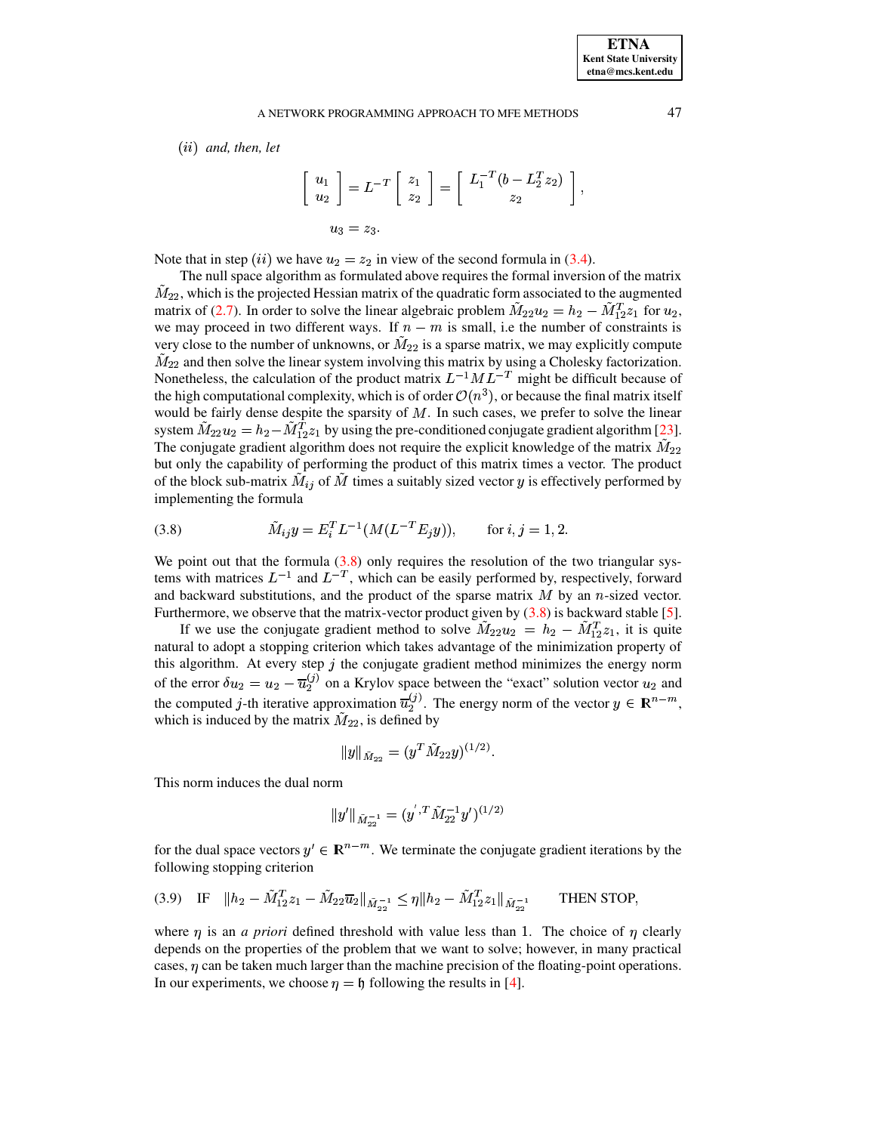$(ii)$  and, then, let

$$
\begin{bmatrix} u_1 \\ u_2 \end{bmatrix} = L^{-T} \begin{bmatrix} z_1 \\ z_2 \end{bmatrix} = \begin{bmatrix} L_1^{-T} (b - L_2^T z_2) \\ z_2 \end{bmatrix}
$$

$$
u_3 = z_3.
$$

Note that in step (ii) we have  $u_2 = z_2$  in view of the second formula in (3.4).

The null space algorithm as formulated above requires the formal inversion of the matrix  $M_{22}$ , which is the projected Hessian matrix of the quadratic form associated to the augmented matrix of (2.7). In order to solve the linear algebraic problem  $M_{22}u_2 = h_2 - M_{12}^T z_1$  for  $u_2$ , we may proceed in two different ways. If  $n - m$  is small, i.e the number of constraints is very close to the number of unknowns, or  $\tilde{M}_{22}$  is a sparse matrix, we may explicitly compute  $\tilde{M}_{22}$  and then solve the linear system involving this matrix by using a Cholesky factorization. Nonetheless, the calculation of the product matrix  $L^{-1}ML^{-T}$  might be difficult because of the high computational complexity, which is of order  $\mathcal{O}(n^3)$ , or because the final matrix itself would be fairly dense despite the sparsity of  $M$ . In such cases, we prefer to solve the linear system  $\tilde{M}_{22}u_2 = h_2 - \tilde{M}_{12}^T z_1$  by using the pre-conditioned conjugate gradient algorithm [23]. The conjugate gradient algorithm does not require the explicit knowledge of the matrix  $\tilde{M}_{22}$ but only the capability of performing the product of this matrix times a vector. The product of the block sub-matrix  $M_{ij}$  of M times a suitably sized vector  $y$  is effectively performed by implementing the formula

<span id="page-6-0"></span>(3.8) 
$$
\tilde{M}_{ij}y = E_i^T L^{-1}(M(L^{-T} E_j y)), \quad \text{for } i, j = 1, 2.
$$

We point out that the formula  $(3.8)$  only requires the resolution of the two triangular systems with matrices  $L^{-1}$  and  $L^{-T}$ , which can be easily performed by, respectively, forward and backward substitutions, and the product of the sparse matrix  $M$  by an  $n$ -sized vector. Furthermore, we observe that the matrix-vector product given by  $(3.8)$  is backward stable [5].

If we use the conjugate gradient method to solve  $M_{22}u_2 = h_2 - M_{12}^T z_1$ , it is quite natural to adopt a stopping criterion which takes advantage of the minimization property of this algorithm. At every step  $j$  the conjugate gradient method minimizes the energy norm of the error  $\delta u_2 = u_2 - \overline{u}_2^{(j)}$  on a Krylov space between the "exact" solution vector  $u_2$  and the computed j-th iterative approximation  $\overline{u}_2^{(j)}$ . The energy norm of the vector  $y \in \mathbb{R}^{n-m}$ , which is induced by the matrix  $M_{22}$ , is defined by

$$
\|y\|_{\tilde M_{22}}=(y^T\tilde M_{22}y)^{(1/2)}
$$

This norm induces the dual norm

$$
\|y'\|_{\tilde{M}_{22}^{-1}} = (y^{'}, T\tilde{M}_{22}^{-1}y')^{(1/2)}
$$

for the dual space vectors  $y' \in \mathbb{R}^{n-m}$ . We terminate the conjugate gradient iterations by the following stopping criterion

<span id="page-6-1"></span>
$$
(3.9) \quad \text{IF} \quad \|h_2 - \tilde{M}_{12}^T z_1 - \tilde{M}_{22} \overline{u}_2\|_{\tilde{M}_{22}^{-1}} \le \eta \|h_2 - \tilde{M}_{12}^T z_1\|_{\tilde{M}_{22}^{-1}} \qquad \text{THEN STOP},
$$

where  $\eta$  is an *a priori* defined threshold with value less than 1. The choice of  $\eta$  clearly depends on the properties of the problem that we want to solve; however, in many practical cases,  $\eta$  can be taken much larger than the machine precision of the floating-point operations. In our experiments, we choose  $\eta = \eta$  following the results in [4].

47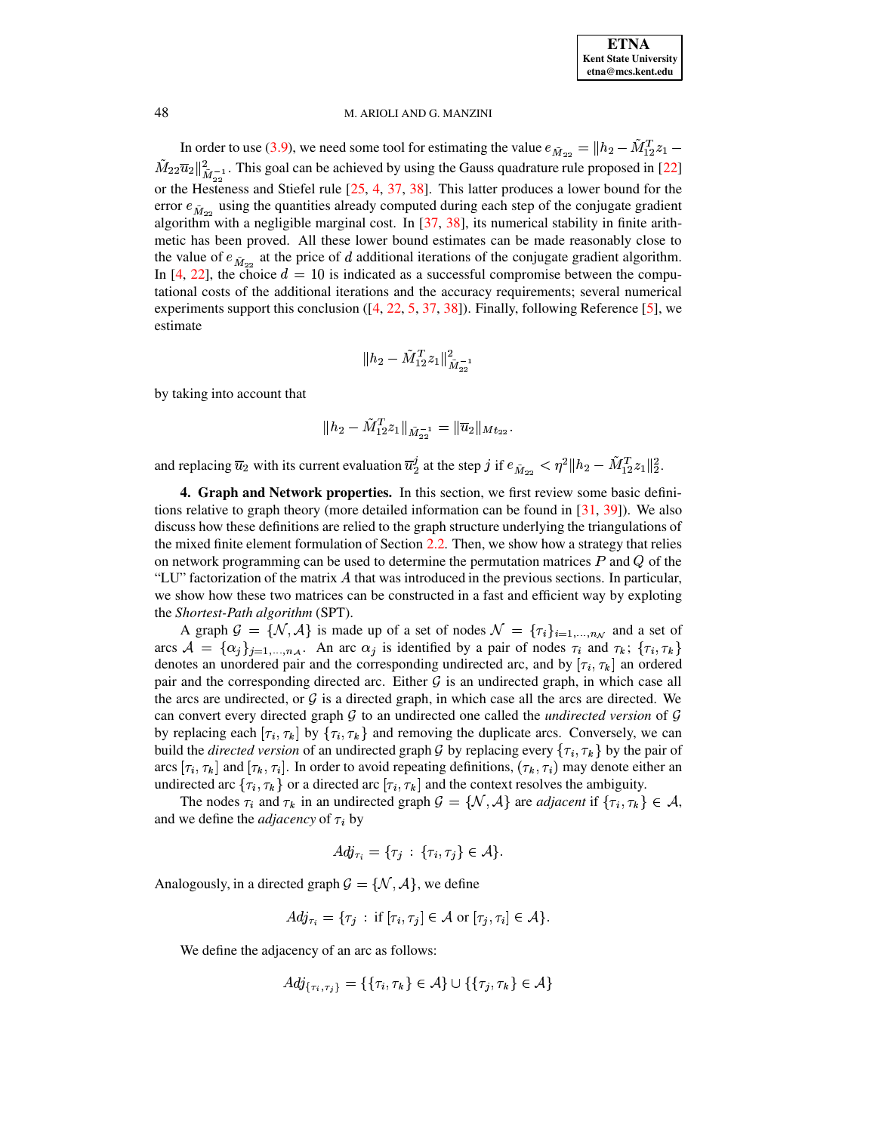In order to use [\(3.9\)](#page-6-1), we need some tool for estimating the value  $e_{\tilde{M}_{22}} = ||h_2 - M_{12}^T z_1 M_{22}\overline{u}_{2}||_{\infty=1}^{2}$ . or the Hesteness and Stiefel rule  $[25, 4, 37, 38]$  $[25, 4, 37, 38]$  $[25, 4, 37, 38]$  $[25, 4, 37, 38]$  $[25, 4, 37, 38]$  $[25, 4, 37, 38]$  $[25, 4, 37, 38]$ . This latter produces a lower bound for the  $\frac{2}{\tilde{M}}$ . This goal can be achieved by using the Gauss quadrature rule proposed in [\[22\]](#page-29-16) error  $\epsilon_{\tilde{M}_{20}}$  using the quantities already computed during each step of the conjugate gradient algorithm with a negligible marginal cost. In [\[37,](#page-29-18) [38\]](#page-29-19), its numerical stability in finite arithmetic has been proved. All these lower bound estimates can be made reasonably close to the value of  $e_{\tilde{M}_{22}}$  at the price of d additional iterations of the conjugate gradient algorithm. In [\[4,](#page-28-5) [22\]](#page-29-16), the choice  $d = 10$  is indicated as a successful compromise between the computational costs of the additional iterations and the accuracy requirements; several numerical experiments support this conclusion  $(14, 22, 5, 37, 38)$  $(14, 22, 5, 37, 38)$  $(14, 22, 5, 37, 38)$  $(14, 22, 5, 37, 38)$  $(14, 22, 5, 37, 38)$  $(14, 22, 5, 37, 38)$  $(14, 22, 5, 37, 38)$ . Finally, following Reference [\[5\]](#page-28-0), we estimate

$$
\|h_2 - \tilde{M}^T_{12} z_1\|^2_{\tilde{M}^{-1}_{22}}
$$

by taking into account that

$$
\|h_2 - \tilde{M}_{12}^T z_1\|_{\tilde{M}_{22}^{-1}} = \|\overline{u}_2\|_{Mt_{22}}.
$$

<span id="page-7-0"></span>and replacing  $\overline{u}_2$  with its current evaluation  $\overline{u}_2^j$  at the step j if  $e_{\tilde{M}_{22}} < \eta^2 \| h_2 - \tilde{M}_{12}^T z_1 \|_2^2$ .

**4. Graph and Network properties.** In this section, we first review some basic definitions relative to graph theory (more detailed information can be found in [\[31,](#page-29-12) [39\]](#page-29-20)). We also discuss how these definitions are relied to the graph structure underlying the triangulations of the mixed finite element formulation of Section [2.2.](#page-1-2) Then, we show how a strategy that relies on network programming can be used to determine the permutation matrices  $P$  and  $Q$  of the "LU" factorization of the matrix  $\vec{A}$  that was introduced in the previous sections. In particular, we show how these two matrices can be constructed in a fast and efficient way by exploting the *Shortest-Path algorithm* (SPT).

Shortest-Path algorithm (SPT).<br>A graph  $G = \{N, A\}$  is made up of a set of nodes  $N = \{\tau_i\}_{i=1,...,n_N}$  and a set of A graph  $G = \{N, A\}$  is made up of a set of nodes  $N = \{\tau_i\}_{i=1,...,n_N}$  and a set of arcs  $A = \{\alpha_j\}_{j=1,...,n_A}$ . An arc  $\alpha_j$  is identified by a pair of nodes  $\tau_i$  and  $\tau_k$ ;  $\{\tau_i, \tau_k\}$ denotes an unordered pair and the corresponding undirected arc, and by  $[\tau_i, \tau_k]$  an ordered pair and the corresponding directed arc. Either  $\mathcal G$  is an undirected graph, in which case all the arcs are undirected, or  $\mathcal G$  is a directed graph, in which case all the arcs are directed. We can convert every directed graph  $G$  to an undirected one called the *undirected version* of  $G$ by replacing each  $[\tau_i, \tau_k]$  by  $\{\tau_i, \tau_k\}$  and removing the duplicate arcs. Conversely, we can build the *directed version* of an undirected graph  $\mathcal G$  by replacing every  $\{\tau_i, \tau_k\}$  by the pair of arcs  $[\tau_i, \tau_k]$  and  $[\tau_k, \tau_i]$ . In order to avoid repeating definitions,  $(\tau_k, \tau_i)$  may denote either an undirected arc  $\{\tau_i, \tau_k\}$  or a directed arc  $[\tau_i, \tau_k]$  and the context resolves the ambiguity.

The nodes  $\tau_i$  and  $\tau_k$  in an undirected graph  $\mathcal{G} = \{ \mathcal{N}, \mathcal{A} \}$  are *adjacent* if  $\{ \tau_i, \tau_k \} \in \mathcal{A}$ , and we define the *adjacency* of  $\tau_i$  by

$$
Adj_{\tau_i} = \{\tau_j \,:\, \{\tau_i, \tau_j\} \in \mathcal{A}\}.
$$

Analogously, in a directed graph  $\mathcal{G} = \{ \mathcal{N}, \mathcal{A} \}$ , we define

$$
Adj_{\tau_i} = \{\tau_j \,:\, \text{if } [\tau_i, \tau_j] \in \mathcal{A} \text{ or } [\tau_j, \tau_i] \in \mathcal{A}\}.
$$

We define the adjacency of an arc as follows:

$$
Adj_{\{\tau_i,\tau_j\}} = \{\{\tau_i,\tau_k\} \in \mathcal{A}\} \cup \{\{\tau_j,\tau_k\} \in \mathcal{A}\}
$$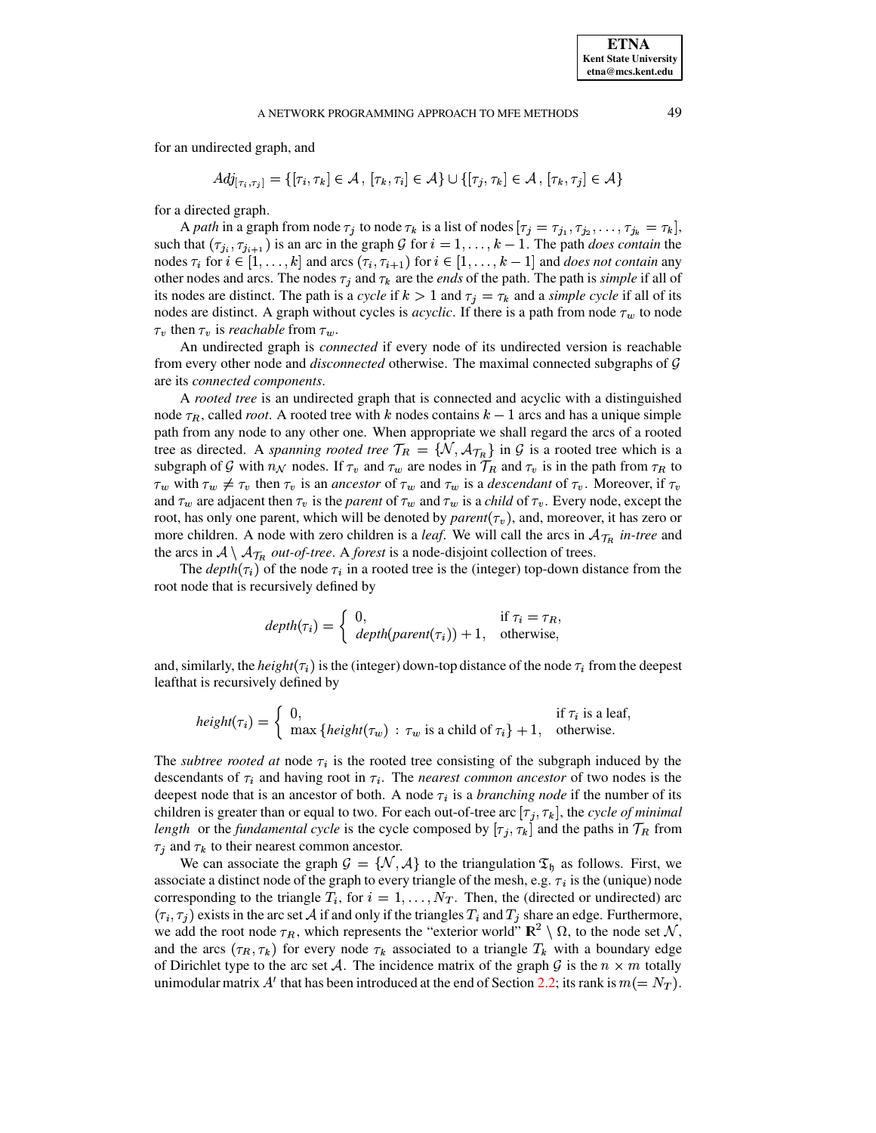for an undirected graph, and

$$
Adj_{[\tau_i, \tau_i]} = \{[\tau_i, \tau_k] \in \mathcal{A}, [\tau_k, \tau_i] \in \mathcal{A}\} \cup \{[\tau_j, \tau_k] \in \mathcal{A}, [\tau_k, \tau_j] \in \mathcal{A}\}\
$$

for a directed graph.

A path in a graph from node  $\tau_j$  to node  $\tau_k$  is a list of nodes  $[\tau_j = \tau_{j_1}, \tau_{j_2}, \dots, \tau_{j_k} = \tau_k]$ , such that  $(\tau_{j_i}, \tau_{j_{i+1}})$  is an arc in the graph G for  $i = 1, ..., k - 1$ . The path *does contain* the nodes  $\tau_i$  for  $i \in [1, ..., k]$  and arcs  $(\tau_i, \tau_{i+1})$  for  $i \in [1, ..., k-1]$  and *does not contain* any other nodes and arcs. The nodes  $\tau_j$  and  $\tau_k$  are the *ends* of the path. The path is *simple* if all of its nodes are distinct. The path is a cycle if  $k > 1$  and  $\tau_j = \tau_k$  and a simple cycle if all of its nodes are distinct. A graph without cycles is *acyclic*. If there is a path from node  $\tau_w$  to node  $\tau_v$  then  $\tau_v$  is *reachable* from  $\tau_w$ .

An undirected graph is *connected* if every node of its undirected version is reachable from every other node and *disconnected* otherwise. The maximal connected subgraphs of  $\mathcal G$ are its connected components.

A rooted tree is an undirected graph that is connected and acyclic with a distinguished node  $\tau_R$ , called *root*. A rooted tree with k nodes contains  $k-1$  arcs and has a unique simple path from any node to any other one. When appropriate we shall regard the arcs of a rooted tree as directed. A spanning rooted tree  $T_R = \{N, A_{T_R}\}\$ in G is a rooted tree which is a subgraph of G with  $n_N$  nodes. If  $\tau_v$  and  $\tau_w$  are nodes in  $\mathcal{T}_R$  and  $\tau_v$  is in the path from  $\tau_R$  to  $\tau_w$  with  $\tau_w \neq \tau_v$  then  $\tau_v$  is an ancestor of  $\tau_w$  and  $\tau_w$  is a descendant of  $\tau_v$ . Moreover, if  $\tau_v$ and  $\tau_w$  are adjacent then  $\tau_v$  is the *parent* of  $\tau_w$  and  $\tau_w$  is a *child* of  $\tau_v$ . Every node, except the root, has only one parent, which will be denoted by *parent*( $\tau$ <sub>v</sub>), and, moreover, it has zero or more children. A node with zero children is a *leaf*. We will call the arcs in  $A_{\tau_R}$  *in-tree* and the arcs in  $A \setminus A_{\mathcal{T}_R}$  *out-of-tree.* A *forest* is a node-disjoint collection of trees.

The *depth*( $\tau_i$ ) of the node  $\tau_i$  in a rooted tree is the (integer) top-down distance from the root node that is recursively defined by

$$
depth(\tau_i) = \begin{cases} 0, & \text{if } \tau_i = \tau_R \\ depth(parent(\tau_i)) + 1, & \text{otherwise,} \end{cases}
$$

and, similarly, the *height*( $\tau_i$ ) is the (integer) down-top distance of the node  $\tau_i$  from the deepest leafthat is recursively defined by

$$
height(\tau_i) = \begin{cases} 0, & \text{if } \tau_i \text{ is a leaf,} \\ \max \{ height(\tau_w) : \tau_w \text{ is a child of } \tau_i \} + 1, & \text{otherwise.} \end{cases}
$$

The *subtree rooted at node*  $\tau_i$  is the rooted tree consisting of the subgraph induced by the descendants of  $\tau_i$  and having root in  $\tau_i$ . The *nearest common ancestor* of two nodes is the deepest node that is an ancestor of both. A node  $\tau_i$  is a *branching node* if the number of its children is greater than or equal to two. For each out-of-tree arc  $[\tau_i, \tau_k]$ , the cycle of minimal length or the fundamental cycle is the cycle composed by  $[\tau_j, \tau_k]$  and the paths in  $\mathcal{T}_R$  from  $\tau_i$  and  $\tau_k$  to their nearest common ancestor.

We can associate the graph  $G = \{N, A\}$  to the triangulation  $\mathfrak{T}_{\mathfrak{h}}$  as follows. First, we associate a distinct node of the graph to every triangle of the mesh, e.g.  $\tau_i$  is the (unique) node corresponding to the triangle  $T_i$ , for  $i = 1, ..., N_T$ . Then, the (directed or undirected) arc  $(\tau_i, \tau_j)$  exists in the arc set A if and only if the triangles  $T_i$  and  $T_j$  share an edge. Furthermore, we add the root node  $\tau_R$ , which represents the "exterior world"  $\mathbb{R}^2 \setminus \Omega$ , to the node set N, and the arcs  $(\tau_R, \tau_k)$  for every node  $\tau_k$  associated to a triangle  $T_k$  with a boundary edge of Dirichlet type to the arc set A. The incidence matrix of the graph G is the  $n \times m$  totally unimodular matrix A' that has been introduced at the end of Section 2.2; its rank is  $m (= N_T)$ .

49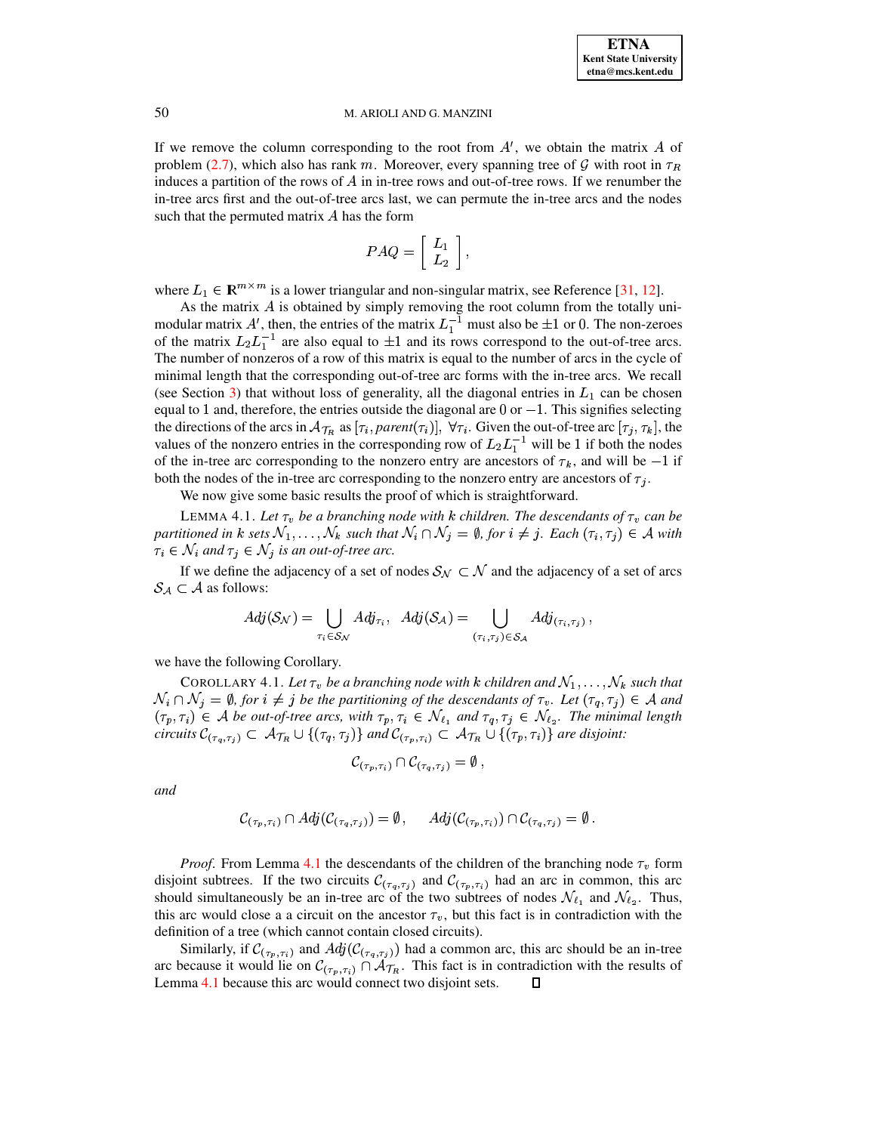If we remove the column corresponding to the root from  $A'$ , we obtain the matrix  $\overline{A}$  of problem [\(2.7\)](#page-3-1), which also has rank m. Moreover, every spanning tree of  $\mathcal G$  with root in  $\tau_R$ induces a partition of the rows of  $A$  in in-tree rows and out-of-tree rows. If we renumber the in-tree arcs first and the out-of-tree arcs last, we can permute the in-tree arcs and the nodes such that the permuted matrix  $A$  has the form

$$
PAQ=\left[\begin{array}{c} L_1 \\ L_2 \end{array}\right],
$$

where  $L_1 \in \mathbb{R}^{m \times m}$  is a lower triangular and non-singular matrix, see Reference [\[31,](#page-29-12) [12\]](#page-29-13).

As the matrix  $A$  is obtained by simply removing the root column from the totally unimodular matrix A', then, the entries of the matrix  $L_1^{-1}$  must also be  $\pm 1$  or 0. The non-zeroes of the matrix  $L_2 L_1^{-1}$  are also equal to  $\pm 1$  and its rows correspond to the out-of-tree arcs. The number of nonzeros of a row of this matrix is equal to the number of arcs in the cycle of minimal length that the corresponding out-of-tree arc forms with the in-tree arcs. We recall (see Section [3\)](#page-4-0) that without loss of generality, all the diagonal entries in  $L_1$  can be chosen equal to 1 and, therefore, the entries outside the diagonal are  $0$  or  $-1$ . This signifies selecting the directions of the arcs in  $\mathcal{A}_{\mathcal{T}_R}$  as  $[\tau_i, parent(\tau_i)], \forall \tau_i$ . Given the out-of-tree arc  $[\tau_i, \tau_k]$ , the values of the nonzero entries in the corresponding row of  $L_2 L_1^{-1}$  will be 1 if both the nodes of the in-tree arc corresponding to the nonzero entry are ancestors of  $\tau_k$ , and will be  $-1$  if both the nodes of the in-tree arc corresponding to the nonzero entry are ancestors of  $\tau_j$ .

We now give some basic results the proof of which is straightforward.

<span id="page-9-0"></span>LEMMA 4.1. Let  $\tau_v$  be a branching node with k children. The descendants of  $\tau_v$  can be  $A$  *partitioned in*  $k$  sets  $\mathcal{N}_1, \ldots, \mathcal{N}_k$  such that  $\mathcal{N}_i \cap \mathcal{N}_j = \emptyset$ ,  $for$   $i \neq j$ . Each  $(\tau_i, \tau_j) \in \mathcal{A}$  with  $\tau_i \in \mathcal{N}_i$  and  $\tau_j \in \mathcal{N}_j$  is an out-of-tree arc.

If we define the adjacency of a set of nodes  $S_N \subset \mathcal{N}$  and the adjacency of a set of arcs  $\mathcal{S}_{\mathcal{A}} \subset \mathcal{A}$  as follows:

<span id="page-9-1"></span>
$$
Adj(\mathcal{S}_{\mathcal{N}}) = \bigcup_{\tau_i \in \mathcal{S}_{\mathcal{N}}} Adj_{\tau_i}, \ \ Adj(\mathcal{S}_{\mathcal{A}}) = \bigcup_{(\tau_i, \tau_j) \in \mathcal{S}_{\mathcal{A}}} Adj_{(\tau_i, \tau_j)},
$$

we have the following Corollary.

COROLLARY 4.1. Let  $\tau_v$  be a branching node with  $k$  children and  $\mathcal{N}_1,\ldots,\mathcal{N}_k$  such that  $\mathcal{N}_i \cap \mathcal{N}_j = \emptyset$ , for  $i \neq j$  be the partitioning of the descendants of  $\tau_v$ . Let  $(\tau_q, \tau_j) \in \mathcal{A}$  and  $(\tau_p, \tau_i) \in A$  be out-of-tree arcs, with  $\tau_p, \tau_i \in \mathcal{N}_{\ell_1}$  and  $\tau_q, \tau_j \in \mathcal{N}_{\ell_2}$ . The minimal length *circuits*  $\mathcal{C}_{(\tau_a, \tau_i)} \subset \mathcal{A}$  $(\tau_q, \tau_j) \subset \mathcal{A}_{\mathcal{T}_R} \cup \{(\tau_q, \tau_j)\}$  and  $\mathcal{C}_{(\tau_p, \tau_i)} \subset \mathcal{A}_{\mathcal{T}_R}$  $(\tau_p, \tau_i) \subset \mathcal{A}_{\mathcal{T}_R} \cup \{(\tau_p, \tau_i)\}$  are disjoint:<br> $\Omega_{\mathcal{L}}(\tau_p) = \emptyset$ 

$$
\mathcal{C}_{(\tau_p,\tau_i)}\cap \mathcal{C}_{(\tau_q,\tau_j)}=\emptyset,
$$

*and*

$$
\mathcal{C}_{(\tau_p,\tau_i)} \cap Adj(\mathcal{C}_{(\tau_q,\tau_j)}) = \emptyset, \quad Adj(\mathcal{C}_{(\tau_p,\tau_i)}) \cap \mathcal{C}_{(\tau_q,\tau_j)} = \emptyset.
$$

*Proof.* From Lemma [4.1](#page-9-0) the descendants of the children of the branching node  $\tau_v$  form disjoint subtrees. If the two circuits  $\mathcal{C}_{(\tau_q, \tau_j)}$  and  $\mathcal{C}_{(\tau_p, \tau_i)}$  had an arc in common, this arc should simultaneously be an in-tree arc of the two subtrees of nodes  $\mathcal{N}_{\ell_1}$  and  $\mathcal{N}_{\ell_2}$ . Thus, this arc would close a a circuit on the ancestor  $\tau_v$ , but this fact is in contradiction with the definition of a tree (which cannot contain closed circuits).

Similarly, if  $\mathcal{C}_{(\tau_p,\tau_i)}$  and  $Adj(\mathcal{C}_{(\tau_q,\tau_j)})$  had a common arc, this arc should be an in-tree arc because it would lie on  $\mathcal{C}_{(\tau_p,\tau_i)} \cap \mathcal{A}_{\tau_R}$ . This fact is in contradiction with the results of Lemma [4.1](#page-9-0) because this arc would connect two disjoint sets. Л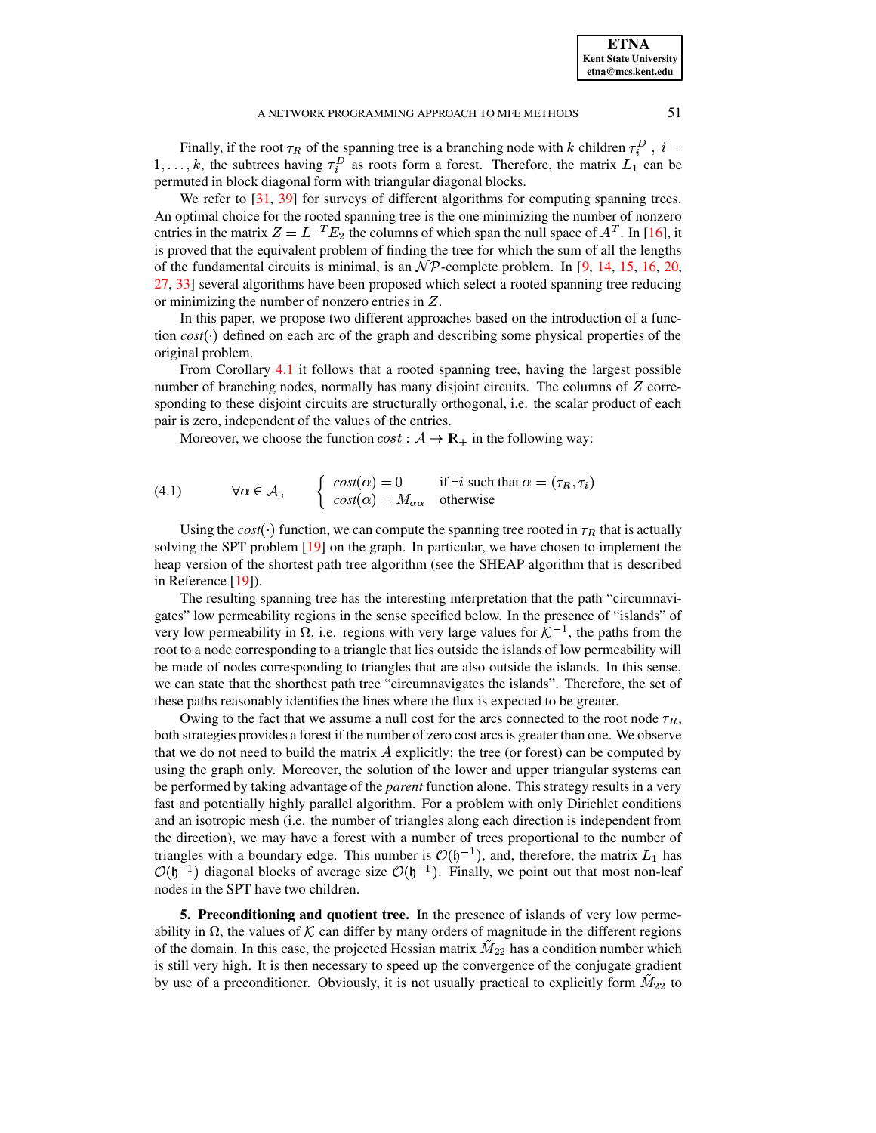Finally, if the root  $\tau_R$  of the spanning tree is a branching node with k children  $\tau_i^D$ ,  $i =$  $1, \ldots, k$ , the subtrees having  $\tau_i^D$  as roots form a forest. Therefore, the matrix  $L_1$  can be permuted in block diagonal form with triangular diagonal blocks.

We refer to [\[31,](#page-29-12) [39\]](#page-29-20) for surveys of different algorithms for computing spanning trees. An optimal choice for the rooted spanning tree is the one minimizing the number of nonzero entries in the matrix  $Z = L^{-T} E_2$  the columns of which span the null space of  $A<sup>T</sup>$ . In [\[16\]](#page-29-21), it is proved that the equivalent problem of finding the tree for which the sum of all the lengths of the fundamental circuits is minimal, is an  $\mathcal{NP}$ -complete problem. In [\[9,](#page-29-22) [14,](#page-29-23) [15,](#page-29-24) [16,](#page-29-21) [20,](#page-29-25) [27,](#page-29-26) [33\]](#page-29-27) several algorithms have been proposed which select a rooted spanning tree reducing or minimizing the number of nonzero entries in  $Z$ .

In this paper, we propose two different approaches based on the introduction of a function  $cost(\cdot)$  defined on each arc of the graph and describing some physical properties of the original problem.

From Corollary [4.1](#page-9-1) it follows that a rooted spanning tree, having the largest possible number of branching nodes, normally has many disjoint circuits. The columns of  $Z$  corresponding to these disjoint circuits are structurally orthogonal, i.e. the scalar product of each pair is zero, independent of the values of the entries.

Moreover, we choose the function  $cost: A \rightarrow \mathbb{R}_+$  in the following way:

(4.1) 
$$
\forall \alpha \in \mathcal{A}, \qquad \begin{cases} \cos t(\alpha) = 0 & \text{if } \exists i \text{ such that } \alpha = (\tau_R, \tau_i) \\ \cos t(\alpha) = M_{\alpha \alpha} & \text{otherwise} \end{cases}
$$

Using the  $cost(\cdot)$  function, we can compute the spanning tree rooted in  $\tau_R$  that is actually solving the SPT problem [\[19\]](#page-29-28) on the graph. In particular, we have chosen to implement the heap version of the shortest path tree algorithm (see the SHEAP algorithm that is described in Reference [\[19\]](#page-29-28)).

The resulting spanning tree has the interesting interpretation that the path "circumnavigates" low permeability regions in the sense specified below. In the presence of "islands" of very low permeability in  $\Omega$ , i.e. regions with very large values for  $\mathcal{K}^{-1}$ , the paths from the root to a node corresponding to a triangle that lies outside the islands of low permeability will be made of nodes corresponding to triangles that are also outside the islands. In this sense, we can state that the shorthest path tree "circumnavigates the islands". Therefore, the set of these paths reasonably identifies the lines where the flux is expected to be greater.

Owing to the fact that we assume a null cost for the arcs connected to the root node  $\tau_R$ , both strategies provides a forest if the number of zero cost arcs is greater than one. We observe that we do not need to build the matrix  $\vec{A}$  explicitly: the tree (or forest) can be computed by using the graph only. Moreover, the solution of the lower and upper triangular systems can be performed by taking advantage of the *parent* function alone. This strategy results in a very fast and potentially highly parallel algorithm. For a problem with only Dirichlet conditions and an isotropic mesh (i.e. the number of triangles along each direction is independent from the direction), we may have a forest with a number of trees proportional to the number of triangles with a boundary edge. This number is  $\mathcal{O}(\mathfrak{h}^{-1})$ , and, therefore, the matrix  $L_1$  has  $\mathcal{O}(\mathfrak{h}^{-1})$  diagonal blocks of average size  $\mathcal{O}(\mathfrak{h}^{-1})$ . Finally, we point out that most non-leaf nodes in the SPT have two children.

<span id="page-10-0"></span>**5. Preconditioning and quotient tree.** In the presence of islands of very low permeability in  $\Omega$ , the values of K can differ by many orders of magnitude in the different regions of the domain. In this case, the projected Hessian matrix  $M_{22}$  has a condition number which is still very high. It is then necessary to speed up the convergence of the conjugate gradient by use of a preconditioner. Obviously, it is not usually practical to explicitly form  $M_{22}$  to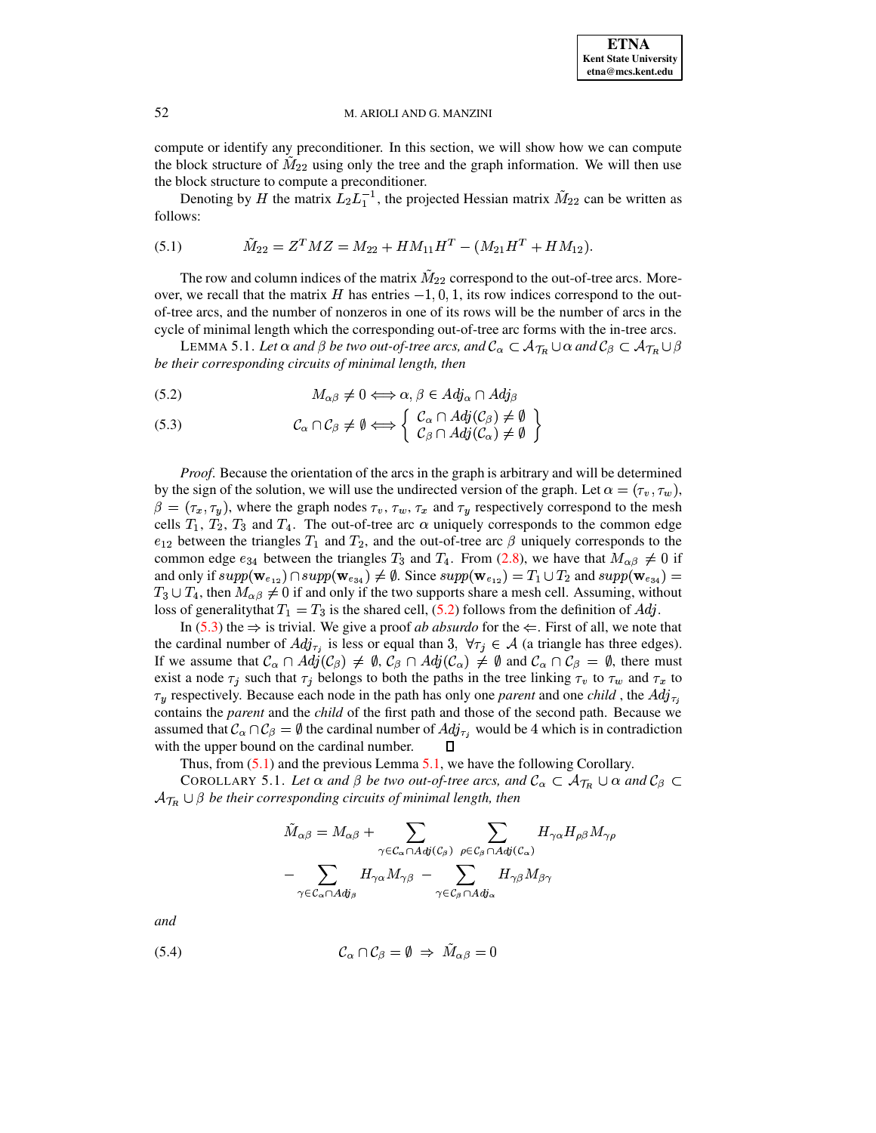compute or identify any preconditioner. In this section, we will show how we can compute the block structure of  $M_{22}$  using only the tree and the graph information. We will then use the block structure to compute a preconditioner.

Denoting by H the matrix  $L_2L_1^{-1}$ , the projected Hessian matrix  $\tilde{M}_{22}$  can be written as follows:

<span id="page-11-1"></span>(5.1) 
$$
\tilde{M}_{22} = Z^T M Z = M_{22} + H M_{11} H^T - (M_{21} H^T + H M_{12}).
$$

The row and column indices of the matrix  $\tilde{M}_{22}$  correspond to the out-of-tree arcs. Moreover, we recall that the matrix H has entries  $-1, 0, 1$ , its row indices correspond to the outof-tree arcs, and the number of nonzeros in one of its rows will be the number of arcs in the cycle of minimal length which the corresponding out-of-tree arc forms with the in-tree arcs.

<span id="page-11-2"></span>LEMMA 5.1. Let  $\alpha$  and  $\beta$  be two out-of-tree arcs, and  $\mathcal{C}_\alpha \subset \mathcal{A}_{\mathcal{T}_R} \cup \alpha$  and  $\mathcal{C}_\beta \subset \mathcal{A}_{\mathcal{T}_R} \cup \beta$ be their corresponding circuits of minimal length, then

<span id="page-11-0"></span>
$$
(5.2) \t\t M_{\alpha\beta} \neq 0 \Longleftrightarrow \alpha, \beta \in Adj_{\alpha} \cap Adj_{\beta}
$$

(5.3) 
$$
\mathcal{C}_{\alpha} \cap \mathcal{C}_{\beta} \neq \emptyset \Longleftrightarrow \left\{ \begin{array}{l} \mathcal{C}_{\alpha} \cap Adj(\mathcal{C}_{\beta}) \neq \emptyset \\ \mathcal{C}_{\beta} \cap Adj(\mathcal{C}_{\alpha}) \neq \emptyset \end{array} \right\}
$$

*Proof.* Because the orientation of the arcs in the graph is arbitrary and will be determined by the sign of the solution, we will use the undirected version of the graph. Let  $\alpha = (\tau_v, \tau_w)$ ,  $\beta = (\tau_x, \tau_y)$ , where the graph nodes  $\tau_y, \tau_w, \tau_x$  and  $\tau_y$  respectively correspond to the mesh cells  $T_1$ ,  $T_2$ ,  $T_3$  and  $T_4$ . The out-of-tree arc  $\alpha$  uniquely corresponds to the common edge  $e_{12}$  between the triangles  $T_1$  and  $T_2$ , and the out-of-tree arc  $\beta$  uniquely corresponds to the common edge  $e_{34}$  between the triangles  $T_3$  and  $T_4$ . From (2.8), we have that  $M_{\alpha\beta} \neq 0$  if and only if  $supp(\mathbf{w}_{e_{12}}) \cap supp(\mathbf{w}_{e_{34}}) \neq \emptyset$ . Since  $supp(\mathbf{w}_{e_{12}}) = T_1 \cup T_2$  and  $supp(\mathbf{w}_{e_{34}}) =$  $T_3 \cup T_4$ , then  $M_{\alpha\beta} \neq 0$  if and only if the two supports share a mesh cell. Assuming, without loss of generality that  $T_1 = T_3$  is the shared cell, (5.2) follows from the definition of  $Adj$ .

In (5.3) the  $\Rightarrow$  is trivial. We give a proof *ab absurdo* for the  $\Leftarrow$ . First of all, we note that the cardinal number of  $Adj_{\tau_i}$  is less or equal than 3,  $\forall \tau_j \in \mathcal{A}$  (a triangle has three edges). If we assume that  $\mathcal{C}_{\alpha} \cap Adj(\mathcal{C}_{\beta}) \neq \emptyset$ ,  $\mathcal{C}_{\beta} \cap Adj(\mathcal{C}_{\alpha}) \neq \emptyset$  and  $\mathcal{C}_{\alpha} \cap \mathcal{C}_{\beta} = \emptyset$ , there must exist a node  $\tau_i$  such that  $\tau_i$  belongs to both the paths in the tree linking  $\tau_v$  to  $\tau_w$  and  $\tau_x$  to  $\tau_y$  respectively. Because each node in the path has only one *parent* and one *child*, the Adj<sub> $\tau_i$ </sub> contains the *parent* and the *child* of the first path and those of the second path. Because we assumed that  $\mathcal{C}_\alpha \cap \mathcal{C}_\beta = \emptyset$  the cardinal number of  $Adj_{\tau_j}$  would be 4 which is in contradiction with the upper bound on the cardinal number.

Thus, from  $(5.1)$  and the previous Lemma 5.1, we have the following Corollary.

COROLLARY 5.1. Let  $\alpha$  and  $\beta$  be two out-of-tree arcs, and  $\mathcal{C}_{\alpha} \subset \mathcal{A}_{\mathcal{T}_R} \cup \alpha$  and  $\mathcal{C}_{\beta} \subset$  $\mathcal{A}_{\mathcal{T}_R} \cup \beta$  be their corresponding circuits of minimal length, then

<span id="page-11-4"></span>
$$
\tilde{M}_{\alpha\beta} = M_{\alpha\beta} + \sum_{\gamma \in \mathcal{C}_{\alpha} \cap Adj(\mathcal{C}_{\beta})} \sum_{\rho \in \mathcal{C}_{\beta} \cap Adj(\mathcal{C}_{\alpha})} H_{\gamma\alpha} H_{\rho\beta} M_{\gamma} \n- \sum_{\gamma \in \mathcal{C}_{\alpha} \cap Adj_{\beta}} H_{\gamma\alpha} M_{\gamma\beta} - \sum_{\gamma \in \mathcal{C}_{\beta} \cap Adj_{\alpha}} H_{\gamma\beta} M_{\beta\gamma}
$$

and

<span id="page-11-3"></span>
$$
(5.4) \t\t\t\t\mathcal{C}_{\alpha} \cap \mathcal{C}_{\beta} = \emptyset \Rightarrow \tilde{M}_{\alpha\beta} = 0
$$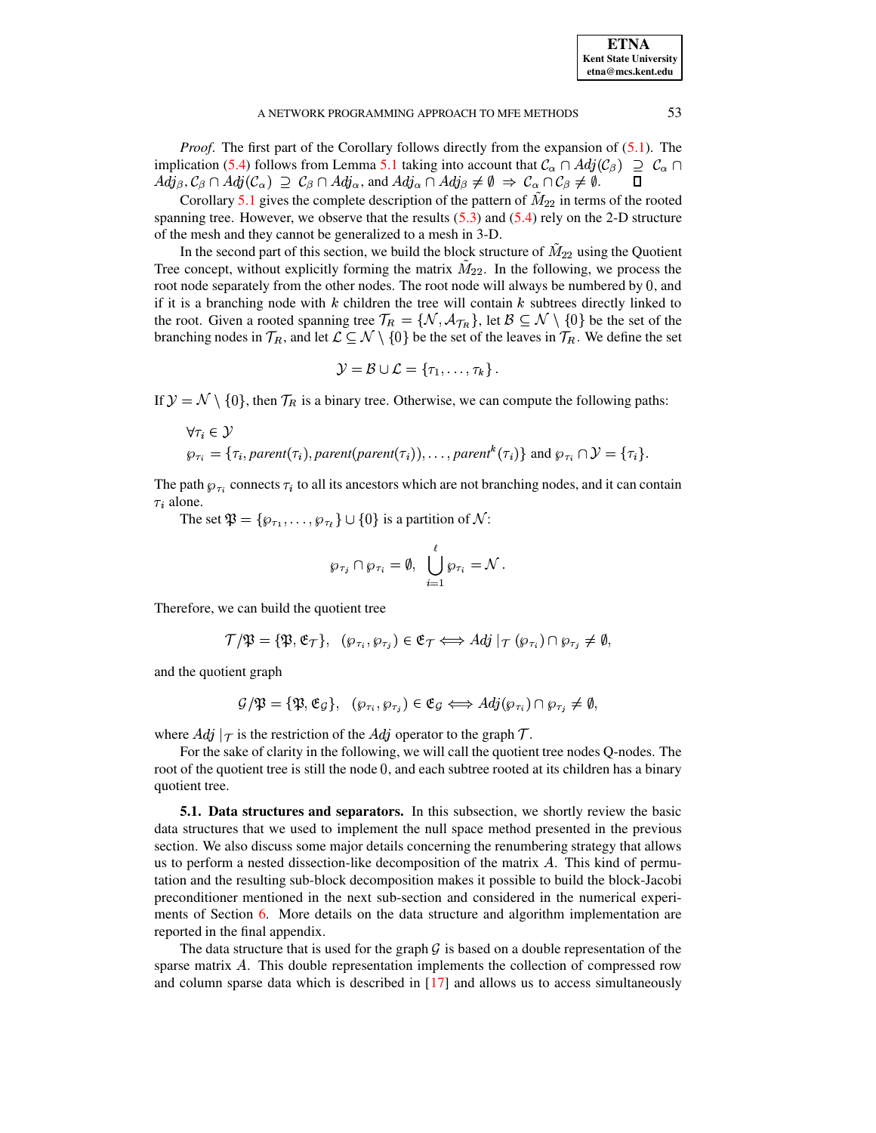| <b>ETNA</b>                  |
|------------------------------|
| <b>Kent State University</b> |
| etna@mcs.kent.edu            |

*Proof.* The first part of the Corollary follows directly from the expansion of [\(5.1\)](#page-11-1). The implication [\(5.4\)](#page-11-3) follows from Lemma [5.1](#page-11-2) taking into account that  $\mathcal{C}_{\alpha} \cap Adj(\mathcal{C}_{\beta}) \supseteq \mathcal{C}_{\alpha} \cap$  $Adj_{\beta}$ ,  $\mathcal{C}_{\beta} \cap Adj(\mathcal{C}_{\alpha}) \supseteq \mathcal{C}_{\beta} \cap Adj_{\alpha}$ , and  $Adj_{\alpha} \cap Adj_{\beta} \neq \emptyset \Rightarrow \mathcal{C}_{\alpha} \cap \mathcal{C}_{\beta} \neq \emptyset$ .

Corollary [5.1](#page-11-4) gives the complete description of the pattern of  $M_{22}$  in terms of the rooted spanning tree. However, we observe that the results  $(5.3)$  and  $(5.4)$  rely on the 2-D structure of the mesh and they cannot be generalized to a mesh in 3-D.

In the second part of this section, we build the block structure of  $M_{22}$  using the Quotient Tree concept, without explicitly forming the matrix  $M_{22}$ . In the following, we process the root node separately from the other nodes. The root node will always be numbered by 0, and if it is a branching node with  $k$  children the tree will contain  $k$  subtrees directly linked to the root. Given a rooted spanning tree  $\mathcal{T}_R = \{N, \mathcal{A}_{T_R}\}\,$  let  $\mathcal{B} \subseteq \mathcal{N} \setminus \{0\}$  be the set of the branching nodes in  $\mathcal{T}_R$ , and let  $\mathcal{L} \subseteq \mathcal{N} \setminus \{0\}$  be the set of the leaves in  $\mathcal{T}_R$ . We define the set

$$
\mathcal{Y} = \mathcal{B} \cup \mathcal{L} = \{\tau_1, \ldots, \tau_k\} \,.
$$

If  $\mathcal{Y} = \mathcal{N} \setminus \{0\}$ , then  $\mathcal{T}_R$  is a binary tree. Otherwise, we can compute the following paths:

$$
\forall \tau_i \in \mathcal{Y}
$$
  
\n
$$
\varphi_{\tau_i} = \{\tau_i, parent(\tau_i), parent(parent(\tau_i)), \dots, parent^k(\tau_i)\} \text{ and } \varphi_{\tau_i} \cap \mathcal{Y} = \{\tau_i\}.
$$

The path  $\varphi_{\tau i}$  connects  $\tau_i$  to all its ancestors which are not branching nodes, and it can contain  $\tau_i$  alone.

The set  $\mathfrak{P} = {\varphi_{\tau_1}, \ldots, \varphi_{\tau_\ell}} \cup \{0\}$  is a partition of N:

$$
\wp_{\tau_j} \cap \wp_{\tau_i} = \emptyset, \ \bigcup_{i=1}^\ell \wp_{\tau_i} = \mathcal{N} \, .
$$

Therefore, we can build the quotient tree

$$
\mathcal{T}/\mathfrak{P} = \{ \mathfrak{P}, \mathfrak{E}_{\mathcal{T}} \}, \quad (\wp_{\tau_i}, \wp_{\tau_j}) \in \mathfrak{E}_{\mathcal{T}} \Longleftrightarrow Adj \mid_{\mathcal{T}} (\wp_{\tau_i}) \cap \wp_{\tau_j} \neq \emptyset,
$$

and the quotient graph

$$
\mathcal{G}/\mathfrak{P} = \{ \mathfrak{P}, \mathfrak{E}_{\mathcal{G}} \}, \quad (\wp_{\tau_i}, \wp_{\tau_j}) \in \mathfrak{E}_{\mathcal{G}} \iff Adj(\wp_{\tau_i}) \cap \wp_{\tau_j} \neq \emptyset,
$$

where  $Adj |\tau|$  is the restriction of the  $Adj$  operator to the graph  $\mathcal{T}$ .

For the sake of clarity in the following, we will call the quotient tree nodes Q-nodes. The root of the quotient tree is still the node 0, and each subtree rooted at its children has a binary quotient tree.

<span id="page-12-0"></span>**5.1. Data structures and separators.** In this subsection, we shortly review the basic data structures that we used to implement the null space method presented in the previous section. We also discuss some major details concerning the renumbering strategy that allows us to perform a nested dissection-like decomposition of the matrix  $A$ . This kind of permutation and the resulting sub-block decomposition makes it possible to build the block-Jacobi preconditioner mentioned in the next sub-section and considered in the numerical experiments of Section [6.](#page-17-0) More details on the data structure and algorithm implementation are reported in the final appendix.

The data structure that is used for the graph  $\mathcal G$  is based on a double representation of the sparse matrix  $A$ . This double representation implements the collection of compressed row and column sparse data which is described in  $[17]$  and allows us to access simultaneously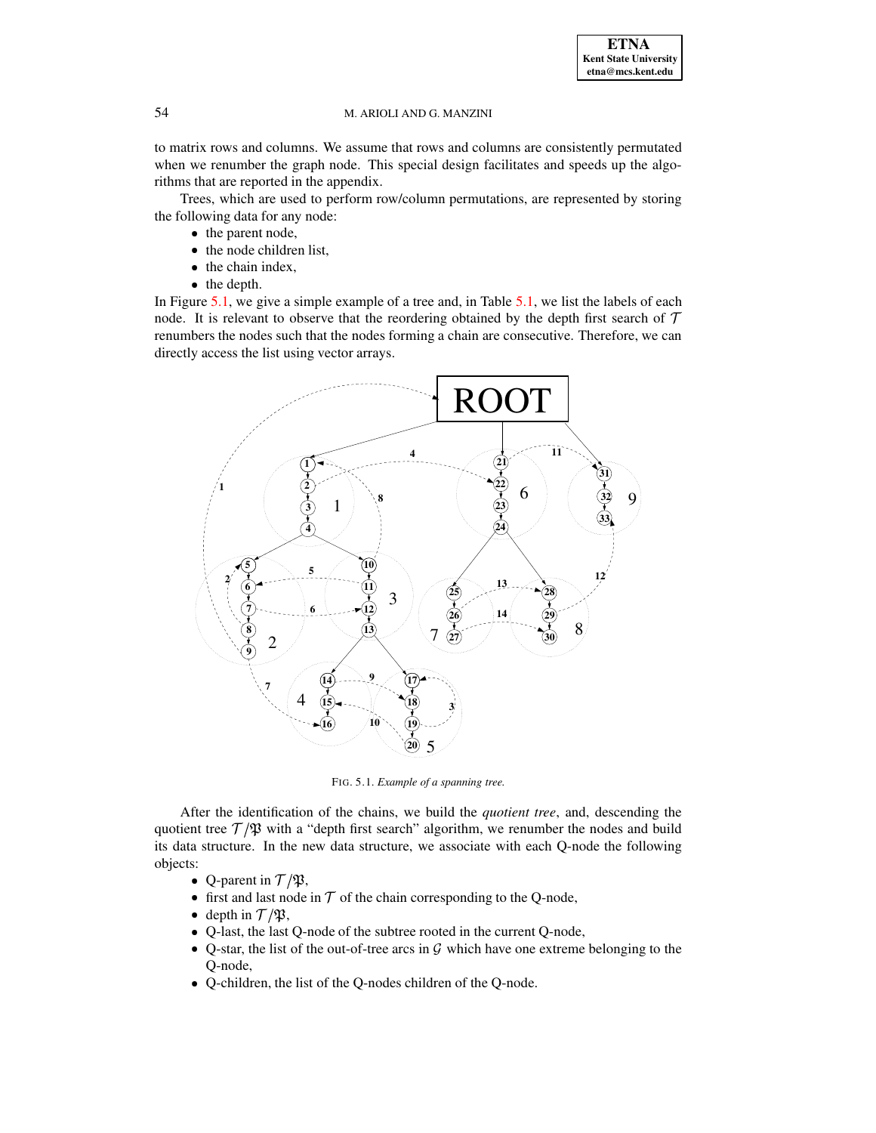to matrix rows and columns. We assume that rows and columns are consistently permutated when we renumber the graph node. This special design facilitates and speeds up the algorithms that are reported in the appendix.

Trees, which are used to perform row/column permutations, are represented by storing the following data for any node:

- the parent node,
- the node children list,
- the chain index,
- the depth.

In Figure [5.1,](#page-13-0) we give a simple example of a tree and, in Table [5.1,](#page-14-0) we list the labels of each node. It is relevant to observe that the reordering obtained by the depth first search of  $\mathcal T$ renumbers the nodes such that the nodes forming a chain are consecutive. Therefore, we can directly access the list using vector arrays.



<span id="page-13-0"></span>FIG. 5.1. *Example of a spanning tree.*

After the identification of the chains, we build the *quotient tree*, and, descending the quotient tree  $T/\mathfrak{P}$  with a "depth first search" algorithm, we renumber the nodes and build its data structure. In the new data structure, we associate with each Q-node the following objects:

- Q-parent in  $\mathcal{T}/\mathfrak{P}$ ,
- first and last node in  $\mathcal T$  of the chain corresponding to the Q-node,
- depth in  $\mathcal{T}/\mathfrak{P}$ ,
- Q-last, the last Q-node of the subtree rooted in the current Q-node,
- Q-star, the list of the out-of-tree arcs in  $G$  which have one extreme belonging to the Q-node,
- Q-children, the list of the Q-nodes children of the Q-node.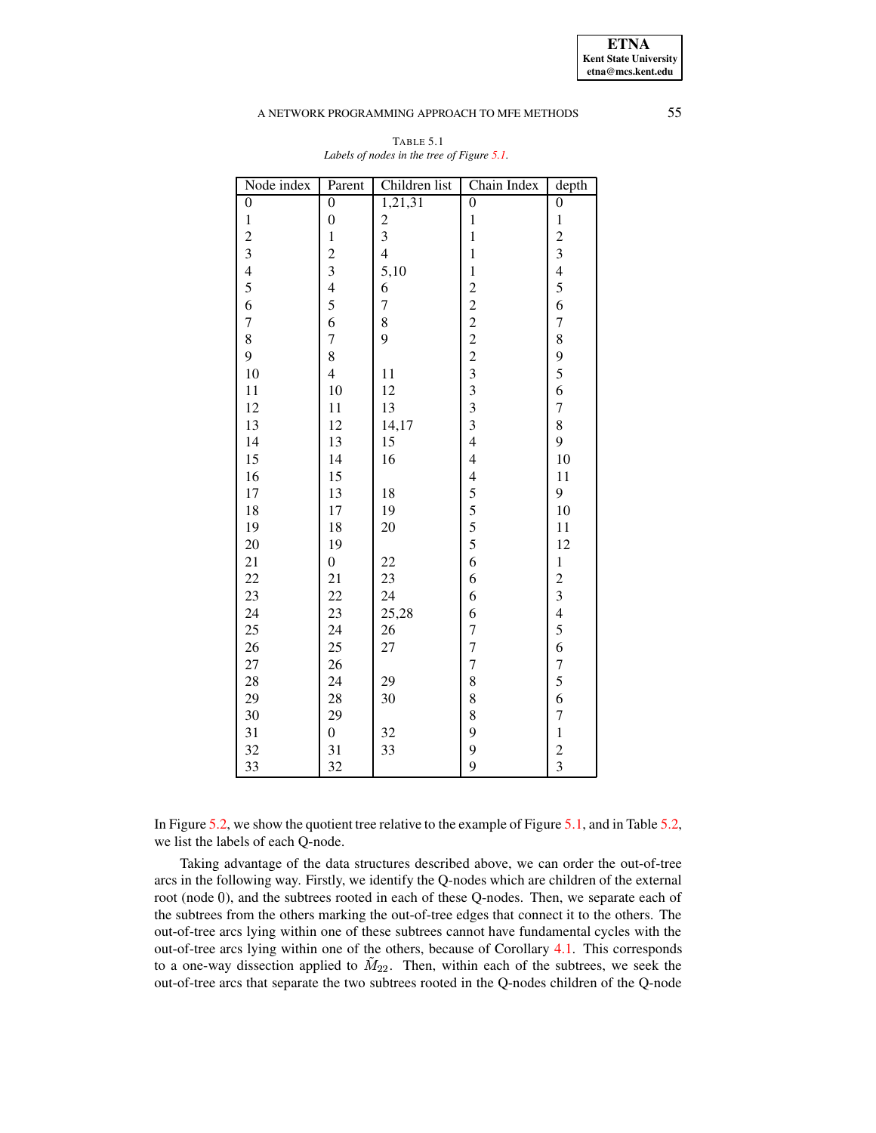**ETNA Kent State University etna@mcs.kent.edu**

### A NETWORK PROGRAMMING APPROACH TO MFE METHODS 55

<span id="page-14-0"></span>

| Node index              | Parent                                | Children list  | Chain Index                    | depth                   |
|-------------------------|---------------------------------------|----------------|--------------------------------|-------------------------|
| $\boldsymbol{0}$        | $\overline{0}$                        | 1,21,31        | $\overline{0}$                 | $\boldsymbol{0}$        |
| $\,1\,$                 | $\overline{0}$                        |                | $\mathbf{1}$                   | $\,1$                   |
| $\overline{\mathbf{c}}$ | $\mathbf 1$                           | $\frac{2}{3}$  | $\mathbf{1}$                   | $\overline{\mathbf{c}}$ |
| $\overline{\mathbf{3}}$ | $\overline{c}$                        | $\overline{4}$ | $\mathbf{1}$                   | $\overline{\mathbf{3}}$ |
| $\overline{4}$          | 3                                     | 5,10           | $\mathbf{1}$                   | $\overline{4}$          |
| 5                       | $\overline{4}$                        | 6              | 22222333                       | 5                       |
| 6                       | $\frac{5}{6}$                         | $\overline{7}$ |                                | 6                       |
| $\overline{7}$          |                                       | 8              |                                | $\overline{7}$          |
| 8                       | $\begin{array}{c} 7 \\ 8 \end{array}$ | $\overline{9}$ |                                | 8                       |
| 9                       |                                       |                |                                | 9                       |
| 10                      | $\overline{4}$                        | 11             |                                | 5                       |
| 11                      | 10                                    | 12             |                                | 6                       |
| 12                      | 11                                    | 13             |                                | $\overline{7}$          |
| 13                      | 12                                    | 14,17          |                                | 8                       |
| 14                      | 13                                    | 15             | $\overline{4}$                 | 9                       |
| 15                      | 14                                    | 16             | $\overline{4}$                 | 10                      |
| 16                      | 15                                    |                | $\overline{\mathcal{L}}$       | 11                      |
| 17                      | 13                                    | 18             | $\frac{5}{5}$<br>$\frac{5}{5}$ | 9                       |
| 18                      | 17                                    | 19             |                                | 10                      |
| 19                      | 18                                    | 20             |                                | 11                      |
| 20                      | 19                                    |                |                                | 12                      |
| 21                      | $\boldsymbol{0}$                      | 22             | 6                              | $\,1$                   |
| 22                      | 21                                    | 23             | 6                              | $\overline{c}$          |
| 23                      | 22                                    | 24             | 6                              | $\overline{\mathbf{3}}$ |
| 24                      | 23                                    | 25,28          | 6                              | $\overline{4}$          |
| 25                      | 24                                    | 26             | $\overline{7}$                 | 5                       |
| 26                      | 25                                    | 27             | $\overline{7}$                 | 6                       |
| 27                      | 26                                    |                | $\overline{7}$                 | $\overline{7}$          |
| 28                      | 24                                    | 29             | 8                              | 5                       |
| 29                      | 28                                    | 30             | 8                              | 6                       |
| 30                      | 29                                    |                | 8                              | $\overline{7}$          |
| 31                      | $\overline{0}$                        | 32             | 9                              | $\mathbf{1}$            |
| 32                      | 31                                    | 33             | 9                              |                         |
| 33                      | 32                                    |                | 9                              | $\frac{2}{3}$           |

## TABLE 5.1 *Labels of nodes in the tree of Figure [5.1.](#page-13-0)*

In Figure [5.2,](#page-15-0) we show the quotient tree relative to the example of Figure [5.1,](#page-13-0) and in Table [5.2,](#page-15-1) we list the labels of each Q-node.

Taking advantage of the data structures described above, we can order the out-of-tree arcs in the following way. Firstly, we identify the Q-nodes which are children of the external root (node 0), and the subtrees rooted in each of these Q-nodes. Then, we separate each of the subtrees from the others marking the out-of-tree edges that connect it to the others. The out-of-tree arcs lying within one of these subtrees cannot have fundamental cycles with the out-of-tree arcs lying within one of the others, because of Corollary [4.1.](#page-9-1) This corresponds to a one-way dissection applied to  $M_{22}$ . Then, within each of the subtrees, we seek the out-of-tree arcs that separate the two subtrees rooted in the Q-nodes children of the Q-node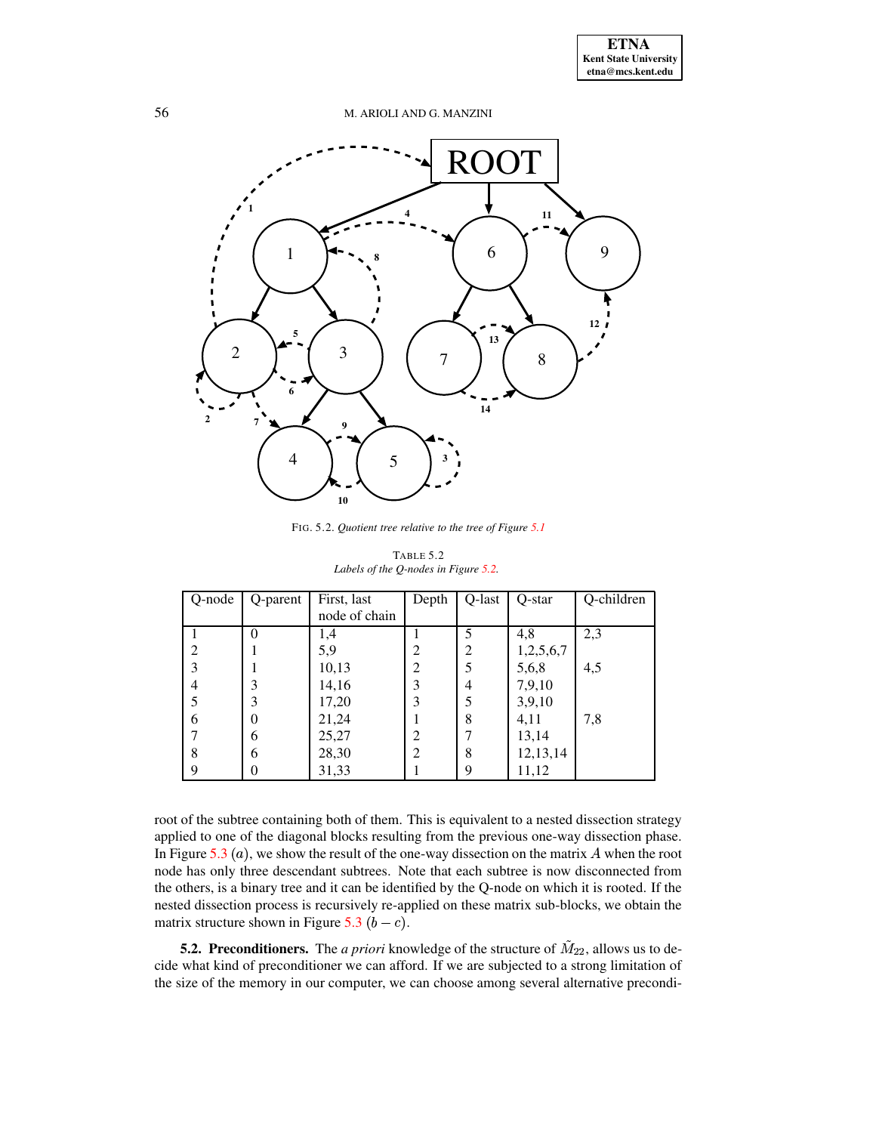

<span id="page-15-0"></span>FIG. 5.2. *Quotient tree relative to the tree of Figure [5.1](#page-13-0)*

<span id="page-15-1"></span>

| Q-node         | Q-parent | First, last   | Depth | Q-last         | Q-star    | Q-children |
|----------------|----------|---------------|-------|----------------|-----------|------------|
|                |          | node of chain |       |                |           |            |
|                | 0        | 1,4           |       | 5              | 4,8       | 2,3        |
| $\overline{c}$ |          | 5,9           | 2     | $\overline{2}$ | 1,2,5,6,7 |            |
| 3              |          | 10,13         | 2     | 5              | 5,6,8     | 4,5        |
| 4              | 3        | 14,16         | 3     | 4              | 7,9,10    |            |
| 5              | 3        | 17,20         | 3     | 5              | 3,9,10    |            |
| 6              | 0        | 21,24         |       | 8              | 4,11      | 7,8        |
| 7              | 6        | 25,27         | 2     | 7              | 13,14     |            |
| 8              | 6        | 28,30         | 2     | 8              | 12,13,14  |            |
| 9              |          | 31,33         |       | 9              | 11,12     |            |

TABLE 5.2 *Labels of the Q-nodes in Figure [5.2.](#page-15-0)*

root of the subtree containing both of them. This is equivalent to a nested dissection strategy applied to one of the diagonal blocks resulting from the previous one-way dissection phase. In Figure [5.3](#page-16-0)  $(a)$ , we show the result of the one-way dissection on the matrix A when the root node has only three descendant subtrees. Note that each subtree is now disconnected from the others, is a binary tree and it can be identified by the Q-node on which it is rooted. If the nested dissection process is recursively re-applied on these matrix sub-blocks, we obtain the matrix structure shown in Figure [5.3](#page-16-0)  $(b - c)$ .

**5.2. Preconditioners.** The *a priori* knowledge of the structure of  $M_{22}$ , allows us to decide what kind of preconditioner we can afford. If we are subjected to a strong limitation of the size of the memory in our computer, we can choose among several alternative precondi-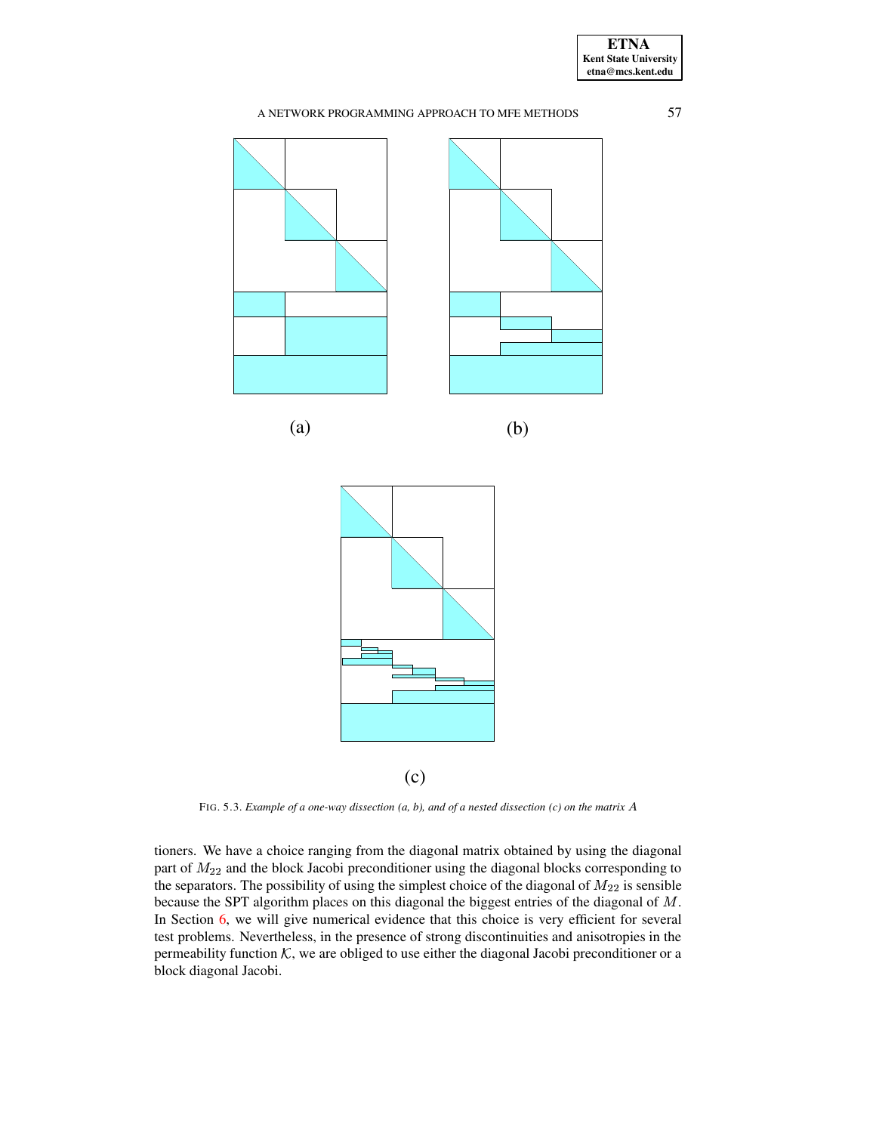

FIG. 5.3. *Example of a one-way dissection (a, b), and of a nested dissection (c) on the matrix*

<span id="page-16-0"></span>tioners. We have a choice ranging from the diagonal matrix obtained by using the diagonal part of  $M_{22}$  and the block Jacobi preconditioner using the diagonal blocks corresponding to the separators. The possibility of using the simplest choice of the diagonal of  $M_{22}$  is sensible because the SPT algorithm places on this diagonal the biggest entries of the diagonal of  $M$ . In Section [6,](#page-17-0) we will give numerical evidence that this choice is very efficient for several test problems. Nevertheless, in the presence of strong discontinuities and anisotropies in the permeability function  $\mathcal{K}$ , we are obliged to use either the diagonal Jacobi preconditioner or a block diagonal Jacobi.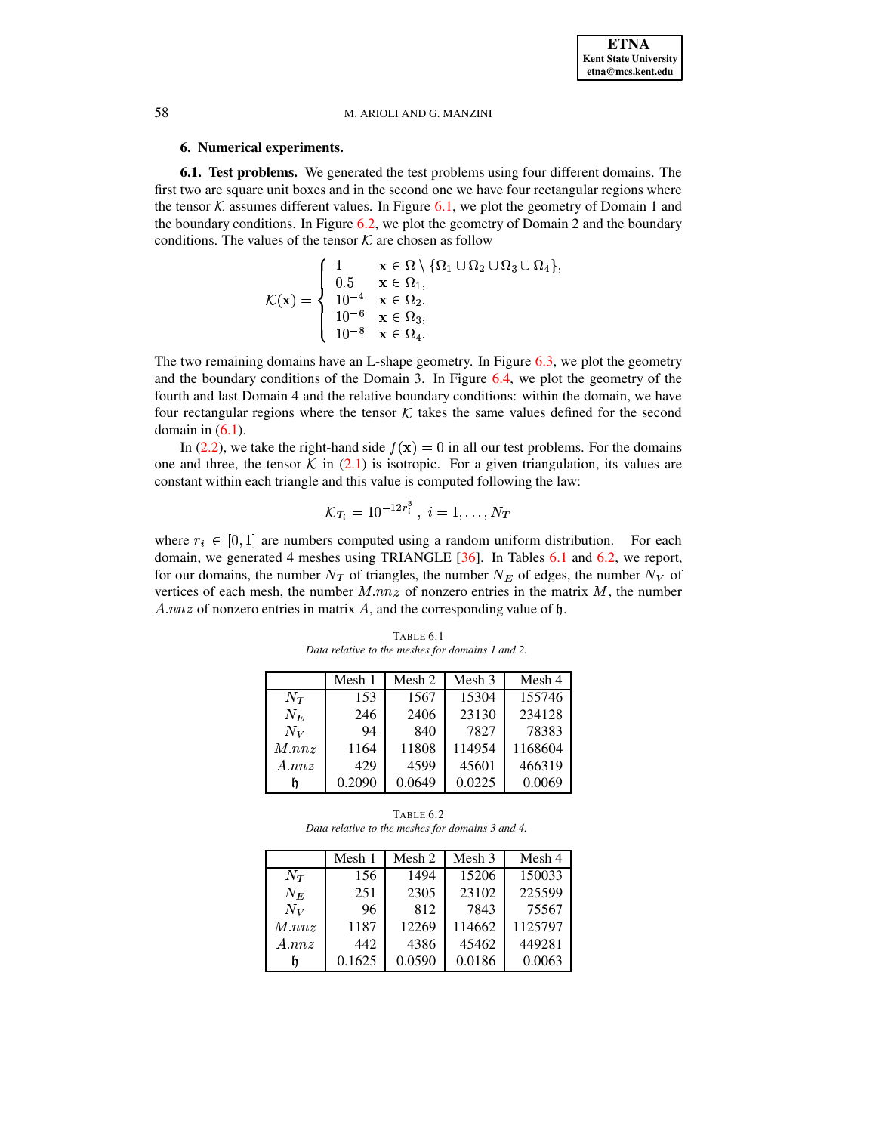## **6. Numerical experiments.**

<span id="page-17-0"></span>**6.1. Test problems.** We generated the test problems using four different domains. The first two are square unit boxes and in the second one we have four rectangular regions where the tensor  $\mathcal K$  assumes different values. In Figure [6.1,](#page-18-0) we plot the geometry of Domain 1 and the boundary conditions. In Figure [6.2,](#page-18-1) we plot the geometry of Domain 2 and the boundary conditions. The values of the tensor  $\mathcal K$  are chosen as follow

$$
\mathcal{K}(\mathbf{x}) = \begin{cases}\n1 & \mathbf{x} \in \Omega \setminus \{\Omega_1 \cup \Omega_2 \cup \Omega_3 \cup \Omega_4\}, \\
0.5 & \mathbf{x} \in \Omega_1, \\
10^{-4} & \mathbf{x} \in \Omega_2, \\
10^{-6} & \mathbf{x} \in \Omega_3, \\
10^{-8} & \mathbf{x} \in \Omega_4.\n\end{cases}
$$

The two remaining domains have an L-shape geometry. In Figure [6.3,](#page-19-0) we plot the geometry and the boundary conditions of the Domain 3. In Figure [6.4,](#page-19-1) we plot the geometry of the fourth and last Domain 4 and the relative boundary conditions: within the domain, we have four rectangular regions where the tensor  $\mathcal K$  takes the same values defined for the second domain in  $(6.1)$ .

In [\(2.2\)](#page-1-1), we take the right-hand side  $f(\mathbf{x}) = 0$  in all our test problems. For the domains one and three, the tensor  $\mathcal K$  in [\(2.1\)](#page-1-1) is isotropic. For a given triangulation, its values are constant within each triangle and this value is computed following the law:

$$
{\cal K}_{T_i}=10^{-12r_i^3}~,~i=1,\ldots,N_T
$$

where  $r_i \in [0, 1]$  are numbers computed using a random uniform distribution. For each domain, we generated 4 meshes using TRIANGLE [\[36\]](#page-29-29). In Tables [6.1](#page-17-1) and [6.2,](#page-17-2) we report, for our domains, the number  $N_T$  of triangles, the number  $N_E$  of edges, the number  $N_V$  of vertices of each mesh, the number  $M$ . $nnz$  of nonzero entries in the matrix  $M$ , the number A.nnz of nonzero entries in matrix A, and the corresponding value of  $\mathfrak h$ .

<span id="page-17-1"></span>

|             | Mesh 1 | Mesh 2 | Mesh 3 | Mesh 4  |
|-------------|--------|--------|--------|---------|
| $N_{T}$     | 153    | 1567   | 15304  | 155746  |
| $N_E$       | 246    | 2406   | 23130  | 234128  |
| $N_V$       | 94     | 840    | 7827   | 78383   |
| $M$ . $nnz$ | 1164   | 11808  | 114954 | 1168604 |
| A.nnz       | 429    | 4599   | 45601  | 466319  |
|             | 0.2090 | 0.0649 | 0.0225 | 0.0069  |

TABLE 6.1 *Data relative to the meshes for domains 1 and 2.*

TABLE 6.2 *Data relative to the meshes for domains 3 and 4.*

<span id="page-17-2"></span>

|             | Mesh 1 | Mesh 2 | Mesh 3 | Mesh 4  |
|-------------|--------|--------|--------|---------|
| $N_T$       | 156    | 1494   | 15206  | 150033  |
| $N_E$       | 251    | 2305   | 23102  | 225599  |
| $N_V$       | 96     | 812    | 7843   | 75567   |
| $M$ . $nnz$ | 1187   | 12269  | 114662 | 1125797 |
| A.nnz       | 442    | 4386   | 45462  | 449281  |
|             | 0.1625 | 0.0590 | 0.0186 | 0.0063  |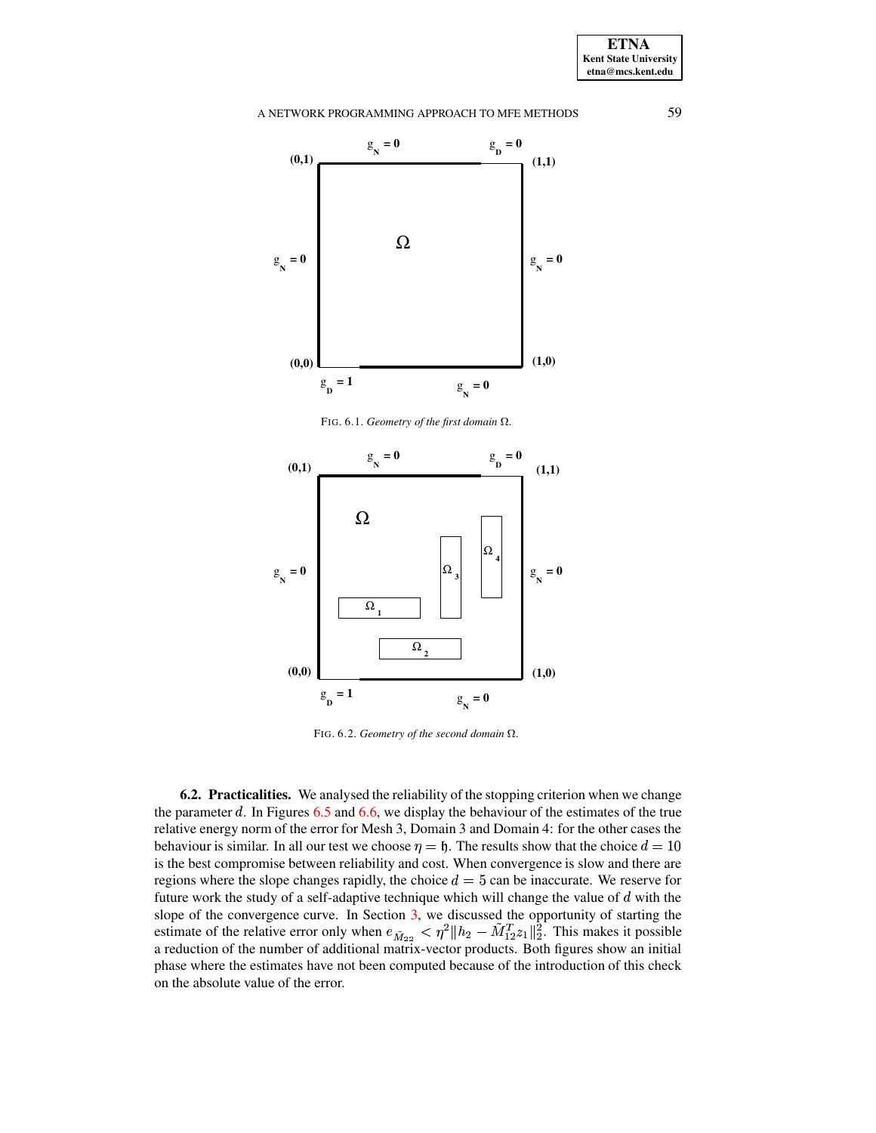

FIG. 6.1. *Geometry of the first domain*  $\Omega$ .

<span id="page-18-0"></span>

<span id="page-18-1"></span>FIG. 6.2. *Geometry of the second domain*  $\Omega$ .

**6.2. Practicalities.** We analysed the reliability of the stopping criterion when we change the parameter  $d$ . In Figures [6.5](#page-20-0) and [6.6,](#page-20-1) we display the behaviour of the estimates of the true relative energy norm of the error for Mesh 3, Domain 3 and Domain 4: for the other cases the behaviour is similar. In all our test we choose  $\eta = \mathfrak{h}$ . The results show that the choice  $d = 10$ is the best compromise between reliability and cost. When convergence is slow and there are regions where the slope changes rapidly, the choice  $d = 5$  can be inaccurate. We reserve for future work the study of a self-adaptive technique which will change the value of  $d$  with the slope of the convergence curve. In Section [3,](#page-4-0) we discussed the opportunity of starting the estimate of the relative error only when  $e_{\tilde{M}_{22}} < \eta^2 || h_2 - M_1$  $\|h_2 - M_1^T z_1\|_2^2$ . This makes it possible a reduction of the number of additional matrix-vector products. Both figures show an initial phase where the estimates have not been computed because of the introduction of this check on the absolute value of the error.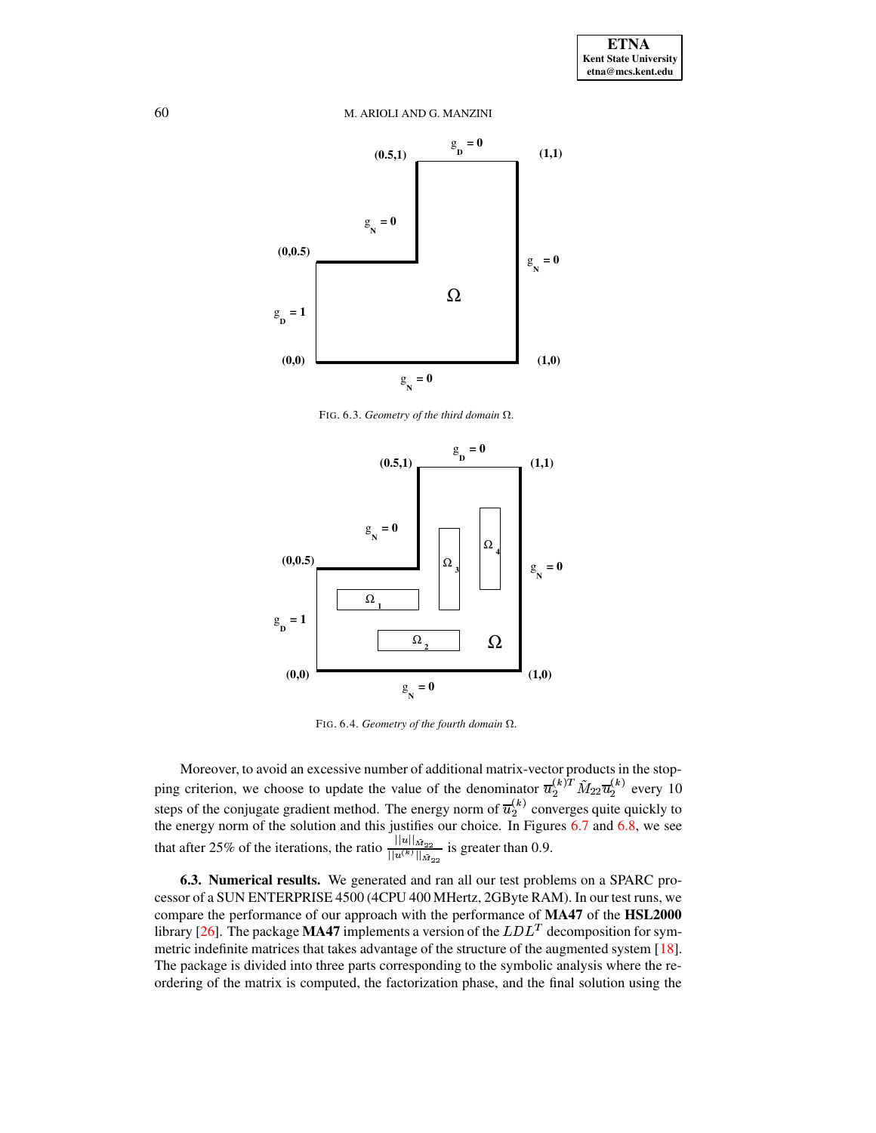

FIG. 6.3. Geometry of the third domain  $\Omega$ .

<span id="page-19-0"></span>

<span id="page-19-1"></span>FIG. 6.4. Geometry of the fourth domain  $\Omega$ .

Moreover, to avoid an excessive number of additional matrix-vector products in the stopping criterion, we choose to update the value of the denominator  $\overline{u}_2^{(k)T} \tilde{M}_{22} \overline{u}_2^{(k)}$  every 10<br>steps of the conjugate gradient method. The energy norm of  $\overline{u}_2^{(k)T} \tilde{M}_{22} \overline{u}_2^{(k)}$  every 10<br>the ene

<span id="page-19-2"></span>6.3. Numerical results. We generated and ran all our test problems on a SPARC processor of a SUN ENTERPRISE 4500 (4CPU 400 MHertz, 2GByte RAM). In our test runs, we compare the performance of our approach with the performance of MA47 of the HSL2000 library [26]. The package **MA47** implements a version of the  $LDL<sup>T</sup>$  decomposition for symmetric indefinite matrices that takes advantage of the structure of the augmented system [18]. The package is divided into three parts corresponding to the symbolic analysis where the reordering of the matrix is computed, the factorization phase, and the final solution using the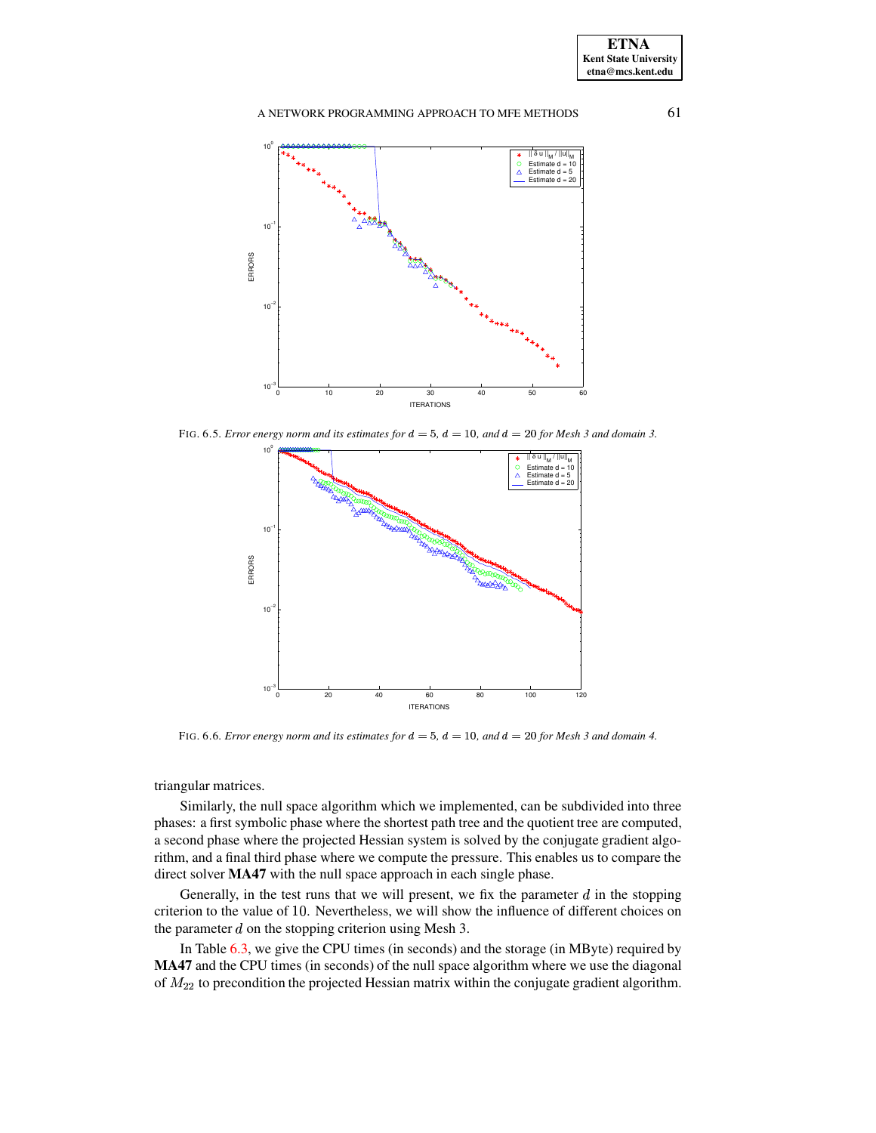

<span id="page-20-0"></span>FIG. 6.5. *Error energy norm and its estimates for*  $d = 5$ ,  $d = 10$ , *and*  $d = 20$  *for Mesh* 3 *and domain* 3.



FIG. 6.6. *Error energy norm and its estimates for*  $d = 5$ ,  $d = 10$ , *and*  $d = 20$  *for Mesh 3 and domain* 4.

<span id="page-20-1"></span>triangular matrices.

Similarly, the null space algorithm which we implemented, can be subdivided into three phases: a first symbolic phase where the shortest path tree and the quotient tree are computed, a second phase where the projected Hessian system is solved by the conjugate gradient algorithm, and a final third phase where we compute the pressure. This enables us to compare the direct solver **MA47** with the null space approach in each single phase.

Generally, in the test runs that we will present, we fix the parameter  $d$  in the stopping criterion to the value of 10. Nevertheless, we will show the influence of different choices on the parameter  $d$  on the stopping criterion using Mesh 3.

In Table [6.3,](#page-22-0) we give the CPU times (in seconds) and the storage (in MByte) required by **MA47** and the CPU times (in seconds) of the null space algorithm where we use the diagonal of  $M_{22}$  to precondition the projected Hessian matrix within the conjugate gradient algorithm.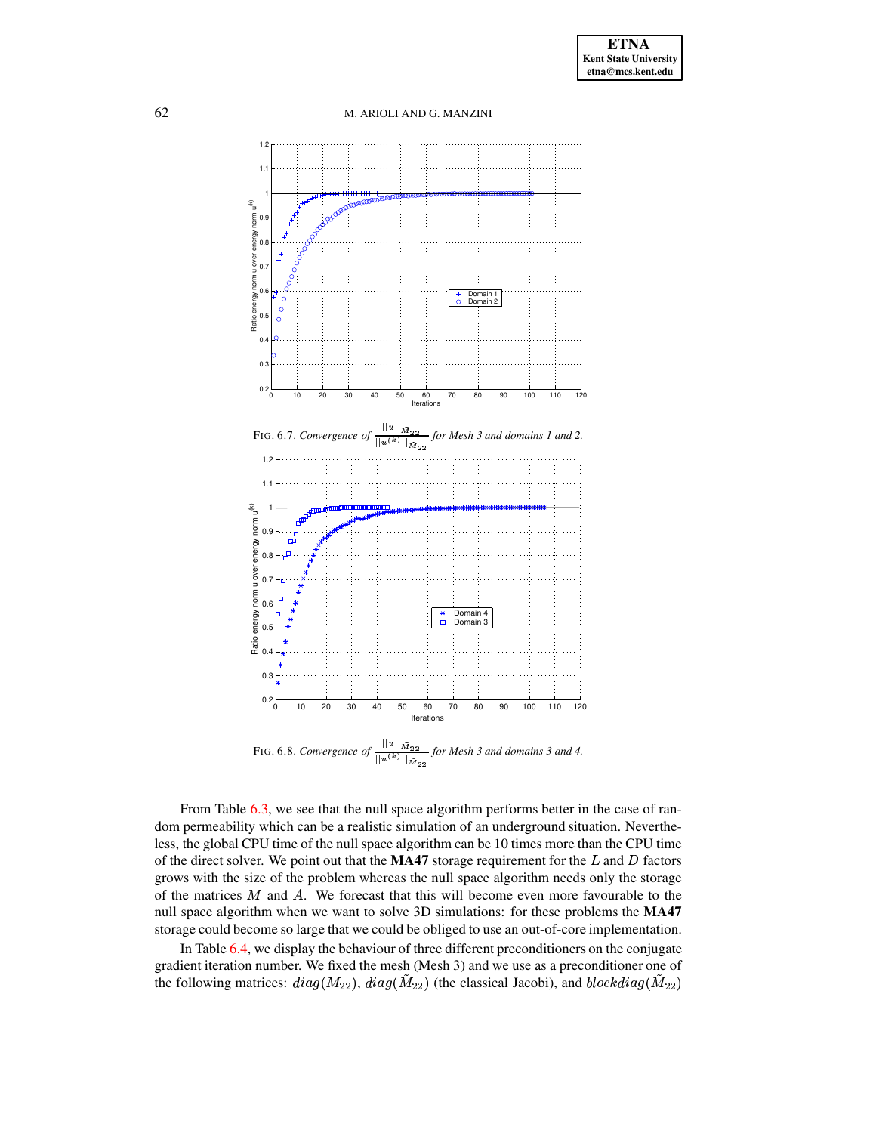<span id="page-21-0"></span>

<span id="page-21-1"></span>From Table  $6.3$ , we see that the null space algorithm performs better in the case of random permeability which can be a realistic simulation of an underground situation. Nevertheless, the global CPU time of the null space algorithm can be 10 times more than the CPU time of the direct solver. We point out that the **MA47** storage requirement for the  $L$  and  $D$  factors grows with the size of the problem whereas the null space algorithm needs only the storage of the matrices  $M$  and  $A$ . We forecast that this will become even more favourable to the null space algorithm when we want to solve 3D simulations: for these problems the **MA47** storage could become so large that we could be obliged to use an out-of-core implementation.

In Table [6.4,](#page-23-1) we display the behaviour of three different preconditioners on the conjugate gradient iteration number. We fixed the mesh (Mesh 3) and we use as a preconditioner one of the following matrices:  $diag(M_{22})$ ,  $diag(M_{22})$  (the classical Jacobi), and  $blockdiag(M_{22})$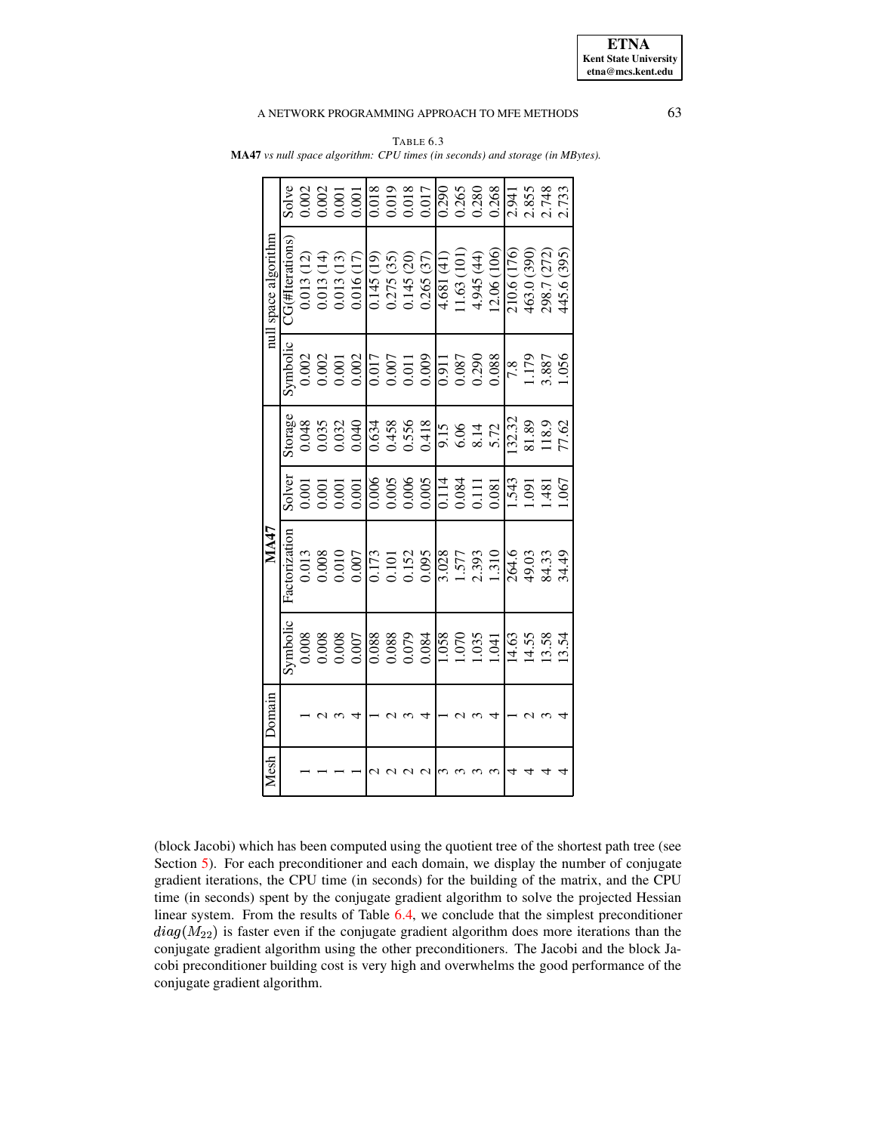| null space algorithm | Solve<br>$C$ G(#Iterations) | 0.013(12) |                         | 0.013(14)               | 0.002<br>0.002<br>0.001<br>0.013(13) | 0.001<br>0.016(17)                                                       | 0.018<br>0.145(19) | 0.275(35) | 0.145(20) | 0.019<br>0.018<br>0.017<br>0.265(37)                               | 0.290<br>4.681 (41) | 0.265<br>1.63(101) | 0.280<br>4.945 (44)     | 0.268<br>(2.06(106))                             | 2.941<br>210.6 (176) | 2.855<br>463.0 (390) | 2.748<br>298.7 (272) |
|----------------------|-----------------------------|-----------|-------------------------|-------------------------|--------------------------------------|--------------------------------------------------------------------------|--------------------|-----------|-----------|--------------------------------------------------------------------|---------------------|--------------------|-------------------------|--------------------------------------------------|----------------------|----------------------|----------------------|
|                      | Symbolic                    |           |                         |                         |                                      | $0.002$<br>$0.001$<br>$0.002$                                            |                    |           |           | $\begin{array}{c} 0.017 \\ 0.007 \\ 0.011 \\ 0.009 \\ \end{array}$ |                     |                    | $\frac{116}{0.087}$     | 0.088                                            |                      | 621.1                | 1.056<br>3.887       |
|                      | storage                     |           |                         |                         |                                      | 0.048<br>0.035<br>0.032<br>0.040                                         | 0.634              |           |           | 0.458<br>0.556<br>0.418                                            |                     |                    |                         | $\frac{15}{9.36}$<br>$6.372$                     | 132.32               | 81.89                | 118.9                |
|                      | Solver                      |           | 0.001<br>0.001<br>0.001 |                         |                                      | 0.001                                                                    |                    |           |           | $\frac{1006}{0.005}$                                               |                     |                    | 0.114<br>0.084<br>0.111 | 0.081                                            | .543                 | .091                 | .481                 |
| <b>MA47</b>          | Factorization               |           |                         |                         |                                      | $\begin{array}{c} 0.013 \\ 0.008 \\ 0.010 \\ 0.000 \\ 0.007 \end{array}$ |                    |           |           | $\frac{0.173}{0.101}$<br>0.101<br>0.152<br>0.095                   |                     |                    |                         | $\frac{3.028}{1.577}$<br>1.577<br>2.393<br>1.310 | 264.6                |                      | 49.03<br>84.33       |
|                      | Symbolic                    |           |                         | 0.008<br>0.008<br>0.007 |                                      |                                                                          |                    |           |           | $\frac{88000}{0.088000}$                                           |                     |                    |                         | $\frac{1058}{1.070}$<br>1.035<br>1.041           | 14.63                | 14.55                | 13.58                |
| Domain               |                             |           |                         |                         |                                      |                                                                          |                    |           |           |                                                                    |                     |                    |                         |                                                  |                      |                      |                      |
| Mesh                 |                             |           |                         |                         |                                      |                                                                          |                    |           |           |                                                                    |                     |                    |                         |                                                  |                      |                      |                      |

<span id="page-22-0"></span>TABLE 6.3 **MA47** *vs null space algorithm: CPU times (in seconds) and storage (in MBytes).*

(block Jacobi) which has been computed using the quotient tree of the shortest path tree (see Section  $5$ ). For each preconditioner and each domain, we display the number of conjugate gradient iterations, the CPU time (in seconds) for the building of the matrix, and the CPU time (in seconds) spent by the conjugate gradient algorithm to solve the projected Hessian linear system. From the results of Table [6.4,](#page-23-1) we conclude that the simplest preconditioner  $diag(M_{22})$  is faster even if the conjugate gradient algorithm does more iterations than the conjugate gradient algorithm using the other preconditioners. The Jacobi and the block Jacobi preconditioner building cost is very high and overwhelms the good performance of the conjugate gradient algorithm.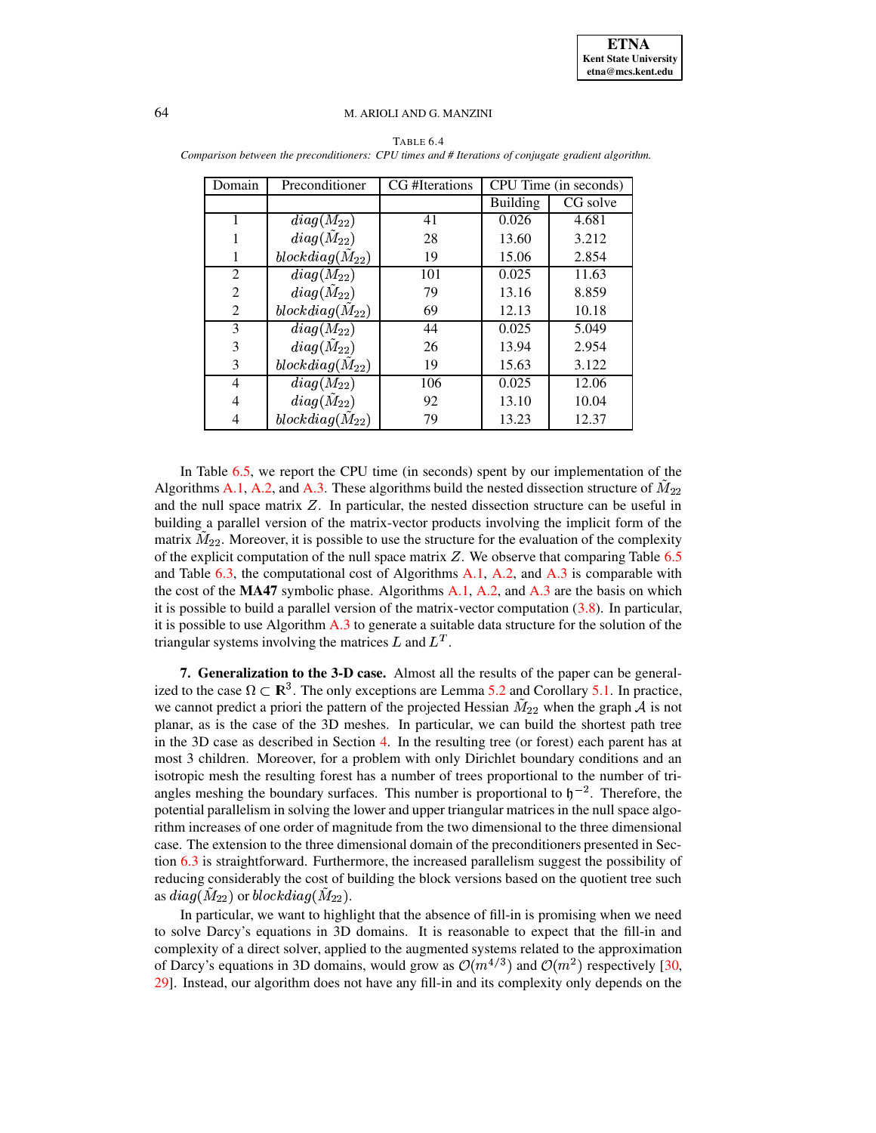| Domain         | Preconditioner      | CG #Iterations | CPU Time (in seconds) |          |  |
|----------------|---------------------|----------------|-----------------------|----------|--|
|                |                     |                | <b>Building</b>       | CG solve |  |
|                | $diag(M_{22})$      | 41             | 0.026                 | 4.681    |  |
|                | $diag(M_{22})$      | 28             | 13.60                 | 3.212    |  |
|                | $blockdiag(M_{22})$ | 19             | 15.06                 | 2.854    |  |
| 2              | $diag(M_{22})$      | 101            | 0.025                 | 11.63    |  |
| $\overline{2}$ | $diag(M_{22})$      | 79             | 13.16                 | 8.859    |  |
| 2              | $blockdiag(M_{22})$ | 69             | 12.13                 | 10.18    |  |
| 3              | $diag(M_{22})$      | 44             | 0.025                 | 5.049    |  |
| 3              | $diag(M_{22})$      | 26             | 13.94                 | 2.954    |  |
| 3              | $blockdiag(M_{22})$ | 19             | 15.63                 | 3.122    |  |
| 4              | $diag(M_{22})$      | 106            | 0.025                 | 12.06    |  |
| 4              | $diag(M_{22})$      | 92             | 13.10                 | 10.04    |  |
|                | $blockdiag(M_{22})$ | 79             | 13.23                 | 12.37    |  |

<span id="page-23-1"></span>TABLE 6.4 *Comparison between the preconditioners: CPU times and # Iterations of conjugate gradient algorithm.*

In Table [6.5,](#page-24-1) we report the CPU time (in seconds) spent by our implementation of the Algorithms [A.1,](#page-25-0) [A.2,](#page-26-0) and [A.3.](#page-27-0) These algorithms build the nested dissection structure of  $\tilde{M}_{22}$ and the null space matrix  $Z$ . In particular, the nested dissection structure can be useful in building a parallel version of the matrix-vector products involving the implicit form of the matrix  $M_{22}$ . Moreover, it is possible to use the structure for the evaluation of the complexity of the explicit computation of the null space matrix  $Z$ . We observe that comparing Table [6.5](#page-24-1) and Table  $6.3$ , the computational cost of Algorithms [A.1,](#page-25-0) [A.2,](#page-26-0) and [A.3](#page-27-0) is comparable with the cost of the **MA47** symbolic phase. Algorithms [A.1,](#page-25-0) [A.2,](#page-26-0) and [A.3](#page-27-0) are the basis on which it is possible to build a parallel version of the matrix-vector computation  $(3.8)$ . In particular, it is possible to use Algorithm [A.3](#page-27-0) to generate a suitable data structure for the solution of the triangular systems involving the matrices L and  $L<sup>T</sup>$ .

<span id="page-23-0"></span>**7. Generalization to the 3-D case.** Almost all the results of the paper can be generalized to the case  $\Omega \subset \mathbb{R}^3$ . The only exceptions are Lemma [5.2](#page-11-0) and Corollary [5.1.](#page-11-4) In practice, we cannot predict a priori the pattern of the projected Hessian  $M_{22}$  when the graph  $A$  is not planar, as is the case of the 3D meshes. In particular, we can build the shortest path tree in the 3D case as described in Section [4.](#page-7-0) In the resulting tree (or forest) each parent has at most 3 children. Moreover, for a problem with only Dirichlet boundary conditions and an isotropic mesh the resulting forest has a number of trees proportional to the number of triangles meshing the boundary surfaces. This number is proportional to  $\mathfrak{h}^{-2}$ . Therefore, the potential parallelism in solving the lower and upper triangular matrices in the null space algorithm increases of one order of magnitude from the two dimensional to the three dimensional case. The extension to the three dimensional domain of the preconditioners presented in Section [6.3](#page-19-2) is straightforward. Furthermore, the increased parallelism suggest the possibility of reducing considerably the cost of building the block versions based on the quotient tree such as  $diag(M_{22})$  or  $blockdiag(M_{22}).$ 

In particular, we want to highlight that the absence of fill-in is promising when we need to solve Darcy's equations in 3D domains. It is reasonable to expect that the fill-in and complexity of a direct solver, applied to the augmented systems related to the approximation of Darcy's equations in 3D domains, would grow as  $\mathcal{O}(m^4)^3$  and  $\mathcal{O}(m^2)$  respectively [\[30,](#page-29-31) 29. Instead, our algorithm does not have any fill-in and its complexity only depends on the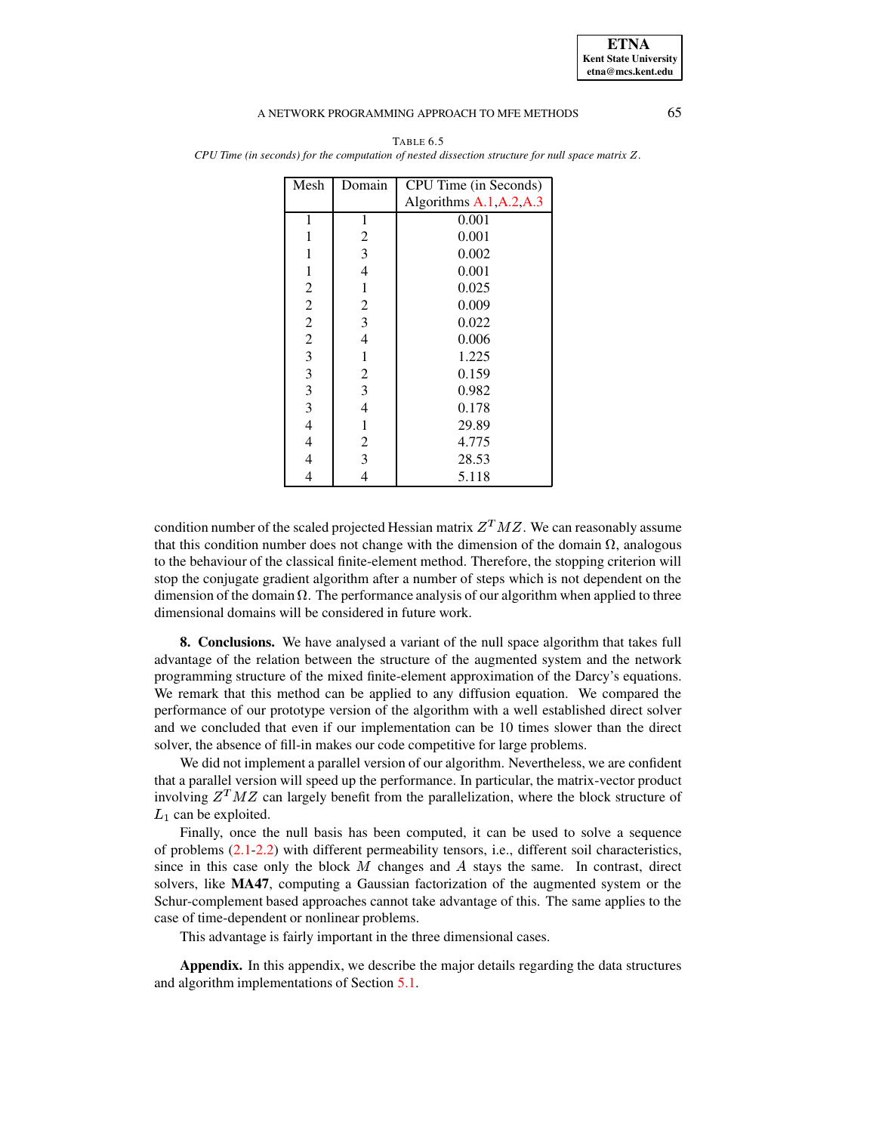**ETNA Kent State University etna@mcs.kent.edu**

#### A NETWORK PROGRAMMING APPROACH TO MFE METHODS 65

| Mesh                    | Domain         | CPU Time (in Seconds)      |
|-------------------------|----------------|----------------------------|
|                         |                | Algorithms $A.1, A.2, A.3$ |
| 1                       | 1              | 0.001                      |
| 1                       | $\overline{c}$ | 0.001                      |
| 1                       | 3              | 0.002                      |
| 1                       | 4              | 0.001                      |
| $\overline{c}$          | 1              | 0.025                      |
| $\overline{2}$          | $\overline{2}$ | 0.009                      |
| $\overline{2}$          | 3              | 0.022                      |
| $\frac{2}{3}$           | $\overline{4}$ | 0.006                      |
|                         | 1              | 1.225                      |
| $\overline{\mathbf{3}}$ | $\mathfrak{2}$ | 0.159                      |
| 3                       | 3              | 0.982                      |
| $\mathfrak{Z}$          | 4              | 0.178                      |
| 4                       | $\mathbf{1}$   | 29.89                      |
| 4                       | $\overline{c}$ | 4.775                      |
| 4                       | 3              | 28.53                      |
| 4                       | 4              | 5.118                      |

<span id="page-24-1"></span>TABLE 6.5 *CPU Time (in seconds) for the computation of nested dissection structure for null space matrix* ¥*.*

condition number of the scaled projected Hessian matrix  $Z<sup>T</sup>MZ$ . We can reasonably assume that this condition number does not change with the dimension of the domain  $\Omega$ , analogous to the behaviour of the classical finite-element method. Therefore, the stopping criterion will stop the conjugate gradient algorithm after a number of steps which is not dependent on the dimension of the domain  $\Omega$ . The performance analysis of our algorithm when applied to three dimensional domains will be considered in future work.

<span id="page-24-0"></span>**8. Conclusions.** We have analysed a variant of the null space algorithm that takes full advantage of the relation between the structure of the augmented system and the network programming structure of the mixed finite-element approximation of the Darcy's equations. We remark that this method can be applied to any diffusion equation. We compared the performance of our prototype version of the algorithm with a well established direct solver and we concluded that even if our implementation can be 10 times slower than the direct solver, the absence of fill-in makes our code competitive for large problems.

We did not implement a parallel version of our algorithm. Nevertheless, we are confident that a parallel version will speed up the performance. In particular, the matrix-vector product involving  $Z^T M Z$  can largely benefit from the parallelization, where the block structure of  $L_1$  can be exploited.

Finally, once the null basis has been computed, it can be used to solve a sequence of problems [\(2.1-2.2\)](#page-1-1) with different permeability tensors, i.e., different soil characteristics, since in this case only the block  $M$  changes and  $A$  stays the same. In contrast, direct solvers, like **MA47**, computing a Gaussian factorization of the augmented system or the Schur-complement based approaches cannot take advantage of this. The same applies to the case of time-dependent or nonlinear problems.

This advantage is fairly important in the three dimensional cases.

**Appendix.** In this appendix, we describe the major details regarding the data structures and algorithm implementations of Section [5.1.](#page-12-0)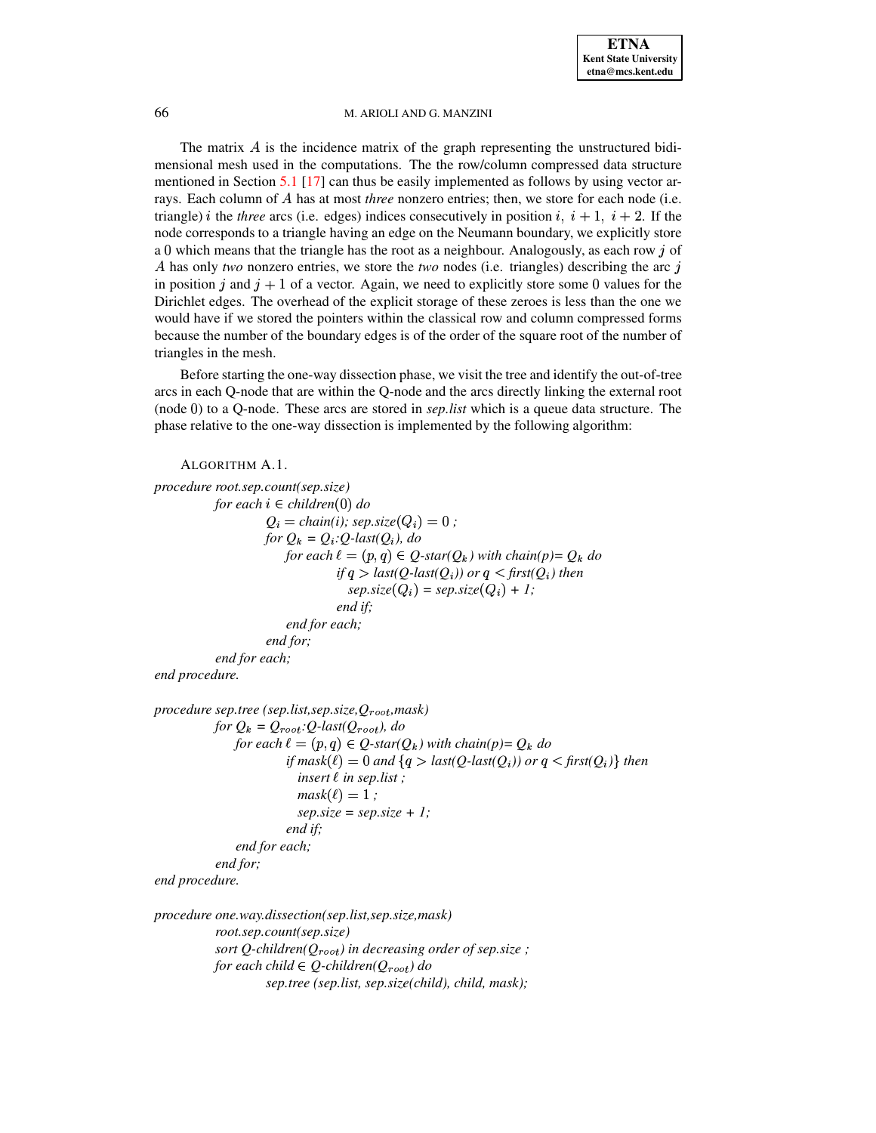The matrix  $\vec{A}$  is the incidence matrix of the graph representing the unstructured bidimensional mesh used in the computations. The the row/column compressed data structure mentioned in Section [5.1](#page-12-0) [\[17\]](#page-29-5) can thus be easily implemented as follows by using vector arrays. Each column of A has at most *three* nonzero entries; then, we store for each node (i.e. triangle) *i* the *three* arcs (i.e. edges) indices consecutively in position *i*,  $i + 1$ ,  $i + 2$ . If the node corresponds to a triangle having an edge on the Neumann boundary, we explicitly store a 0 which means that the triangle has the root as a neighbour. Analogously, as each row  $j$  of A has only *two* nonzero entries, we store the *two* nodes (i.e. triangles) describing the arc  $\dot{\mathbf{i}}$ in position j and  $j + 1$  of a vector. Again, we need to explicitly store some 0 values for the Dirichlet edges. The overhead of the explicit storage of these zeroes is less than the one we would have if we stored the pointers within the classical row and column compressed forms because the number of the boundary edges is of the order of the square root of the number of triangles in the mesh.

Before starting the one-way dissection phase, we visit the tree and identify the out-of-tree arcs in each Q-node that are within the Q-node and the arcs directly linking the external root (node 0) to a Q-node. These arcs are stored in *sep.list* which is a queue data structure. The phase relative to the one-way dissection is implemented by the following algorithm:

```
ALGORITHM A.1.
procedure root.sep.count(sep.size)
            for each i ∈ children(0) do
                     Q_i = chain(i); sep.size(Q_i) = 0;
                     for Q_k = Q_i:Q-last(Q_i), do
                         for each \ell = (p, q) \in Q-star(Q_k) with chain(p)= Q_k do
                                   if q > last(Q-last(Q_i)) or q < first(Q_i) then
                                     sep.size(Q_i) = sep.size(Q_i) + 1;end if;
                         end for each;
                     end for;
           end for each;
end procedure.
procedure sep.tree (sep.list,sep.size,Q,mask)
            for Q_k = Q_{root}:Q-last(Q_{root}), do
                \{for each \ell = (p, q) \in Q\}-star(Q_k) with chain(p) = Q_k do
                         if \text{mask}(\ell) = 0 and \{q > \text{last}(Q \text{-} \text{last}(Q_i))\} or q < \text{first}(Q_i) then
```

```
insert ¦ in sep.list ;
                          mask(\ell) = 1;
                          sep.size = sep.size + 1;end if;
               end for each;
           end for;
end procedure.
```

```
procedure one.way.dissection(sep.list,sep.size,mask)
           root.sep.count(sep.size)
           sort Q-children(Q) in decreasing order of sep.size ;
           §§ ·
for each child W
Q-children(Q) do
                    §§ ·
sep.tree (sep.list, sep.size(child), child, mask);
```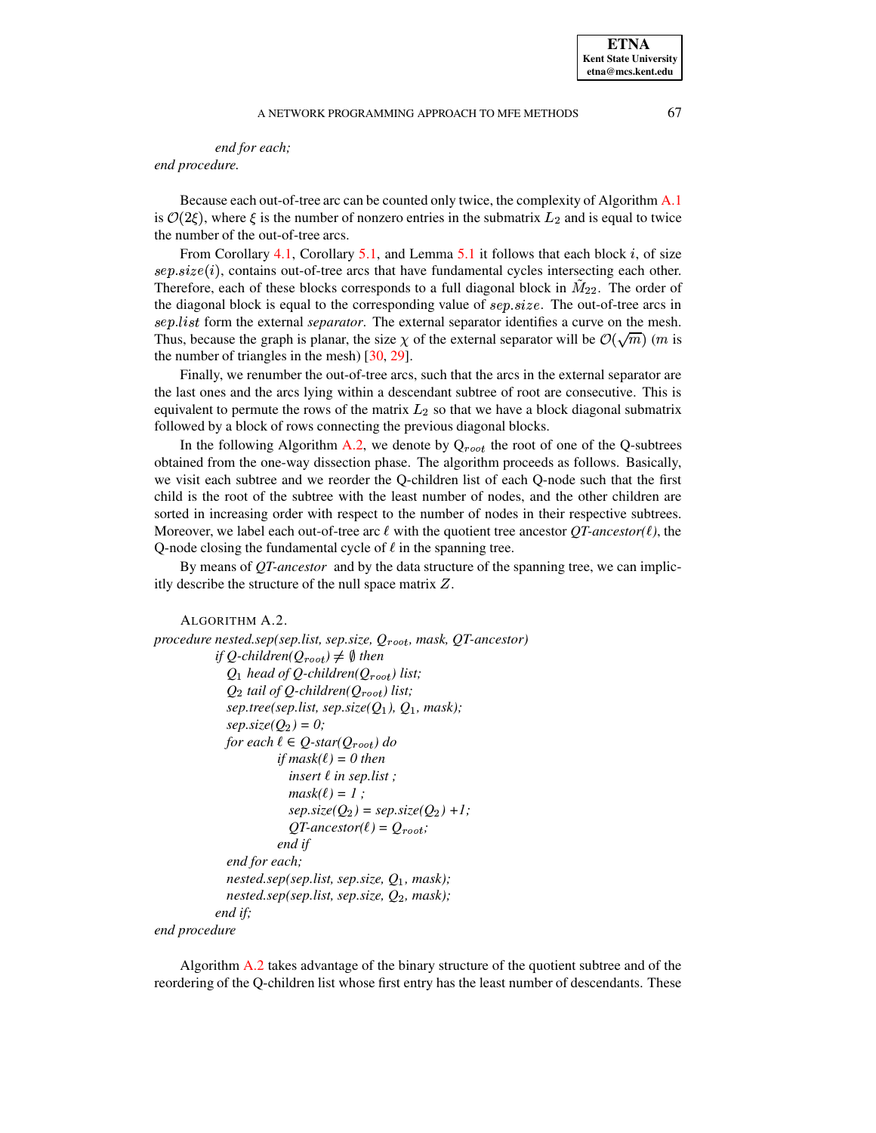# *end for each;*

*end procedure.*

Because each out-of-tree arc can be counted only twice, the complexity of Algorithm [A.1](#page-25-0) is  $\mathcal{O}(2\xi)$ , where  $\xi$  is the number of nonzero entries in the submatrix  $L_2$  and is equal to twice the number of the out-of-tree arcs.

From Corollary [4.1,](#page-9-1) Corollary [5.1,](#page-11-4) and Lemma [5.1](#page-11-2) it follows that each block  $i$ , of size  $sep.size(i)$ , contains out-of-tree arcs that have fundamental cycles intersecting each other. Therefore, each of these blocks corresponds to a full diagonal block in  $M_{22}$ . The order of the diagonal block is equal to the corresponding value of  $sep.size$ . The out-of-tree arcs in  $sep. list$  form the external *separator*. The external separator identifies a curve on the mesh. Thus, because the graph is planar, the size  $\chi$  of the external separator will be  $\mathcal{O}(\sqrt{m})$  (*m* is the number of triangles in the mesh) [\[30,](#page-29-31) [29\]](#page-29-32).

Finally, we renumber the out-of-tree arcs, such that the arcs in the external separator are the last ones and the arcs lying within a descendant subtree of root are consecutive. This is equivalent to permute the rows of the matrix  $L_2$  so that we have a block diagonal submatrix . followed by a block of rows connecting the previous diagonal blocks.

In the following Algorithm [A.2,](#page-26-0) we denote by  $Q_{root}$  the root of one of the Q-subtrees §§ · obtained from the one-way dissection phase. The algorithm proceeds as follows. Basically, we visit each subtree and we reorder the Q-children list of each Q-node such that the first child is the root of the subtree with the least number of nodes, and the other children are sorted in increasing order with respect to the number of nodes in their respective subtrees. Moreover, we label each out-of-tree arc  $\ell$  with the quotient tree ancestor  $QT$ -ancestor( $\ell$ ), the Q-node closing the fundamental cycle of  $\ell$  in the spanning tree.

By means of *QT-ancestor* and by the data structure of the spanning tree, we can implicitly describe the structure of the null space matrix  $Z$ .

```
ALGORITHM A.2.
procedure nested.sep(sep.list, sep.size, Q, mask, QT-ancestor)
            if Q-children(Q_{root}) \neq \emptyset then
              Q_1 head of Q-children(Q_{root}) list;
              Q_2 tail of Q-children(Q_{root}) list;
              sep. tree (sep. list, sep.size (Q<sub>1</sub>), Q<sub>1</sub>, mask);step.size(Q_2) = 0;for each \ell \in Q-star(Q_{root}) do

§
§ ·
if mask(¦) = 0 then
                           insert ¦ in sep.list ;
                           mask(\ell) = 1;
                           sep.size(Q_2) = sep.size(Q_2) + 1;QT-ancestor(\ell) = Q_{root};
                         end if
              end for each;
              nested.\nsep(\nsep.\nlist, \nsep.\nsize, \nQ_1, \nmask);
              nested.sep(sep.list, sep.size, Q, mask);
            end if;
```
*end procedure*

Algorithm [A.2](#page-26-0) takes advantage of the binary structure of the quotient subtree and of the reordering of the Q-children list whose first entry has the least number of descendants. These

**ETNA Kent State University etna@mcs.kent.edu**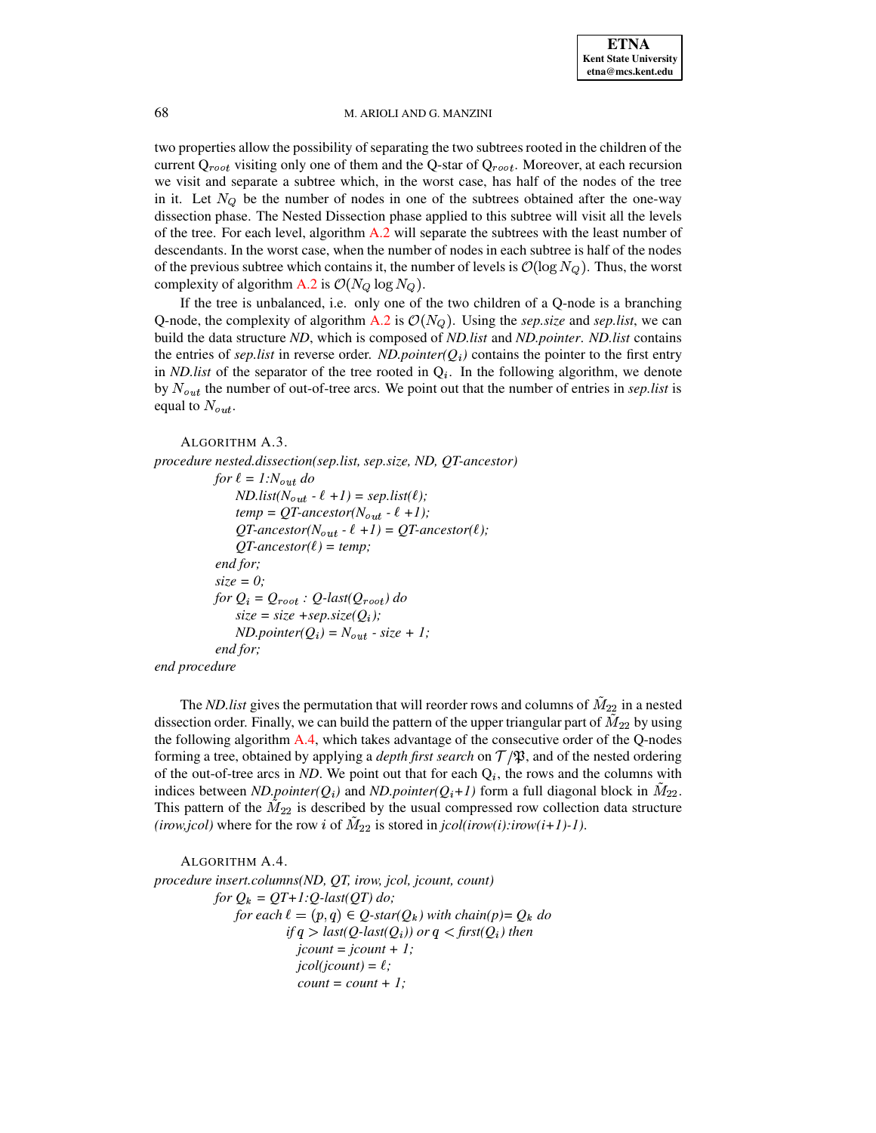two properties allow the possibility of separating the two subtrees rooted in the children of the current  $Q_{root}$  visiting only one of them and the Q-star of  $Q_{root}$ . Moreover, at each recursion we visit and separate a subtree which, in the worst case, has half of the nodes of the tree in it. Let  $N_Q$  be the number of nodes in one of the subtrees obtained after the one-way dissection phase. The Nested Dissection phase applied to this subtree will visit all the levels of the tree. For each level, algorithm [A.2](#page-26-0) will separate the subtrees with the least number of descendants. In the worst case, when the number of nodes in each subtree is half of the nodes of the previous subtree which contains it, the number of levels is  $\mathcal{O}(\log N_o)$ . Thus, the worst complexity of algorithm [A.2](#page-26-0) is  $\mathcal{O}(N_Q \log N_Q)$ .

If the tree is unbalanced, i.e. only one of the two children of a Q-node is a branching Q-node, the complexity of algorithm  $A.2$  is  $\mathcal{O}(N_Q)$ . Using the *sep.size* and *sep.list*, we can build the data structure *ND*, which is composed of *ND.list* and *ND.pointer*. *ND.list* contains the entries of *sep.list* in reverse order. *ND.pointer(* $Q_i$ *)* contains the pointer to the first entry in *ND.list* of the separator of the tree rooted in  $Q_i$ . In the following algorithm, we denote by  $N_{out}$  the number of out-of-tree arcs. We point out that the number of entries in *sep.list* is equal to  $N_{out}$ .

```
ALGORITHM A.3.
```

```
procedure nested.dissection(sep.list, sep.size, ND, QT-ancestor)
            for \ell = 1:N_{out} do
                ND-list(N_{out} - \ell +1) = sep-list(\ell);temp = QT\text{-}ancestor(N_{out} - \ell + 1);QT-ancestor(N_{out} - \ell +1) = QT-ancestor(\ell);
                QT-ancestor(\ell) = temp;
            end for;
            size = 0;
            for Q_i = Q_{root} : Q\text{-}last(Q_{root}) do
                size = size + sep.size(Q_i);ND.pointer(Q_i) = N_{out} - size + 1;end for;
end procedure
```
The *ND.list* gives the permutation that will reorder rows and columns of  $M_{22}$  in a nested dissection order. Finally, we can build the pattern of the upper triangular part of  $M_{22}$  by using the following algorithm [A.4,](#page-27-1) which takes advantage of the consecutive order of the Q-nodes forming a tree, obtained by applying a *depth first search* on  $\mathcal{T}/\mathfrak{P}$ , and of the nested ordering of the out-of-tree arcs in *ND*. We point out that for each  $Q_i$ , the rows and the columns with indices between *ND.pointer*( $Q_i$ ) and *ND.pointer*( $Q_i$ +*1*) form a full diagonal block in  $M_{22}$ . This pattern of the  $M_{22}$  is described by the usual compressed row collection data structure *(irow,jcol)* where for the row *i* of  $M_{22}$  is stored in *jcol(irow(i):irow(i+1)-1)*.

<span id="page-27-1"></span>ALGORITHM A.4. *procedure insert.columns(ND, QT, irow, jcol, jcount, count)*  $for Q_k = QT+1:Q\text{-}last(QT) do;$ *for each*  $\ell = (p, q) \in Q$ -star( $Q_k$ ) with chain(p)=  $Q_k$  do  $if q > last(Q\text{-}last(Q_i)) \text{ or } q < first(Q_i) \text{ then}$  $jcount = jcount + 1;$  $jcol(jcount) = \ell$ ;  $count = count + 1$ ;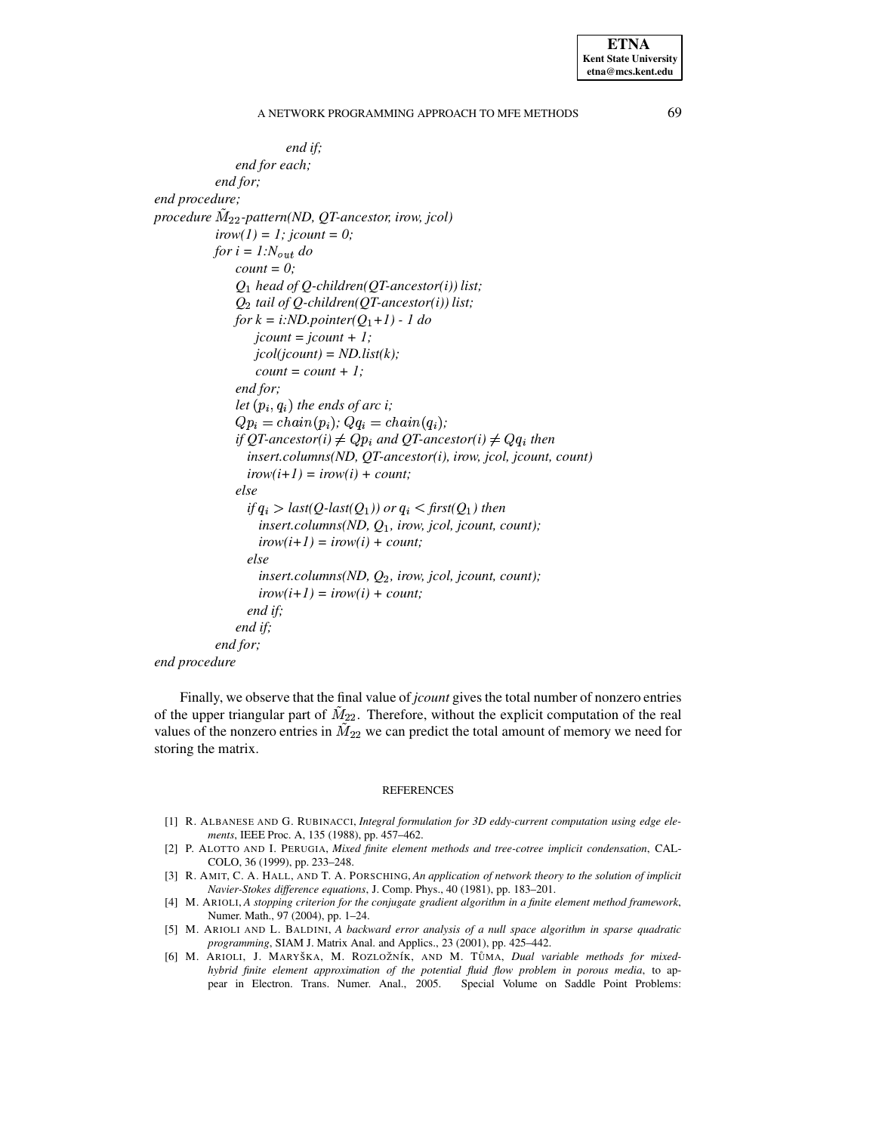**ETNA Kent State University**  $etna@mcs. kent.edu$ 

A NETWORK PROGRAMMING APPROACH TO MFE METHODS

end if; end for each; end for; end procedure; procedure  $M_{22}$ -pattern(ND, QT-ancestor, irow, jcol)  $irow(1) = 1$ ; jcount = 0; for  $i = 1:N_{out}$  do  $count = 0$ ;  $Q_1$  head of Q-children(QT-ancestor(i)) list;  $Q_2$  tail of Q-children(QT-ancestor(i)) list; for  $k = i:ND$ . pointer( $Q_1+1$ ) - 1 do  $jcount = jcount + 1;$  $jcol(jcount) = ND $, list(k);$$  $count = count + 1;$ end for; let  $(p_i, q_i)$  the ends of arc i;  $Qp_i = chain(p_i);$   $Qq_i = chain(q_i);$ if QT-ancestor(i)  $\neq Qp_i$  and QT-ancestor(i)  $\neq Qq_i$  then insert.columns(ND, QT-ancestor(i), irow, jcol, jcount, count)  $irow(i+1) = irow(i) + count;$ else if  $q_i >$  last(Q-last(Q<sub>1</sub>)) or  $q_i <$  first(Q<sub>1</sub>) then insert.columns(ND,  $Q_1$ , irow, jcol, jcount, count);  $irow(i+1) = irow(i) + count;$ else insert.columns(ND,  $Q_2$ , irow, jcol, jcount, count);  $irow(i+1) = irow(i) + count;$ end if: end if; end for;

end procedure

Finally, we observe that the final value of *jcount* gives the total number of nonzero entries of the upper triangular part of  $M_{22}$ . Therefore, without the explicit computation of the real values of the nonzero entries in  $\tilde{M}_{22}$  we can predict the total amount of memory we need for storing the matrix.

#### **REFERENCES**

- <span id="page-28-2"></span>[1] R. ALBANESE AND G. RUBINACCI, Integral formulation for 3D eddy-current computation using edge elements, IEEE Proc. A, 135 (1988), pp. 457-462.
- <span id="page-28-1"></span>[2] P. ALOTTO AND I. PERUGIA, Mixed finite element methods and tree-cotree implicit condensation, CAL-COLO, 36 (1999), pp. 233-248.
- <span id="page-28-3"></span>[3] R. AMIT, C. A. HALL, AND T. A. PORSCHING, An application of network theory to the solution of implicit Navier-Stokes difference equations, J. Comp. Phys., 40 (1981), pp. 183-201.
- <span id="page-28-5"></span>[4] M. ARIOLI, A stopping criterion for the conjugate gradient algorithm in a finite element method framework, Numer. Math., 97 (2004), pp. 1-24.
- <span id="page-28-0"></span>[5] M. ARIOLI AND L. BALDINI, A backward error analysis of a null space algorithm in sparse quadratic programming, SIAM J. Matrix Anal. and Applics., 23 (2001), pp. 425-442.
- <span id="page-28-4"></span>[6] M. ARIOLI, J. MARYŠKA, M. ROZLOŽNÍK, AND M. TŮMA, Dual variable methods for mixedhybrid finite element approximation of the potential fluid flow problem in porous media, to appear in Electron. Trans. Numer. Anal., 2005. Special Volume on Saddle Point Problems:

69